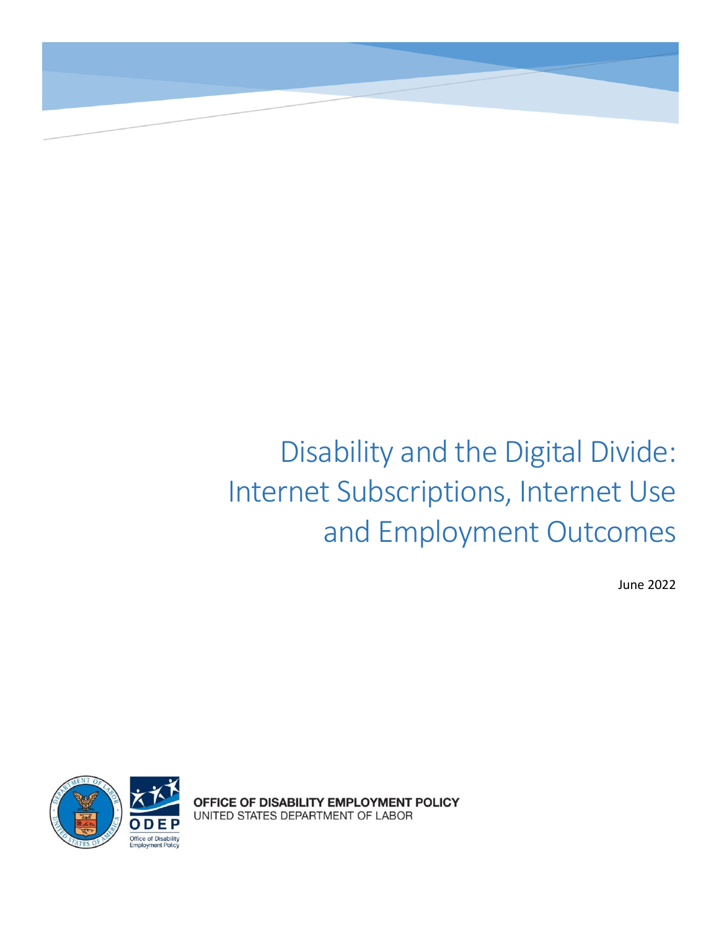# Disability and the Digital Divide: Internet Subscriptions, Internet Use and Employment Outcomes

June 2022



OFFICE OF DISABILITY EMPLOYMENT POLICY UNITED STATES DEPARTMENT OF LABOR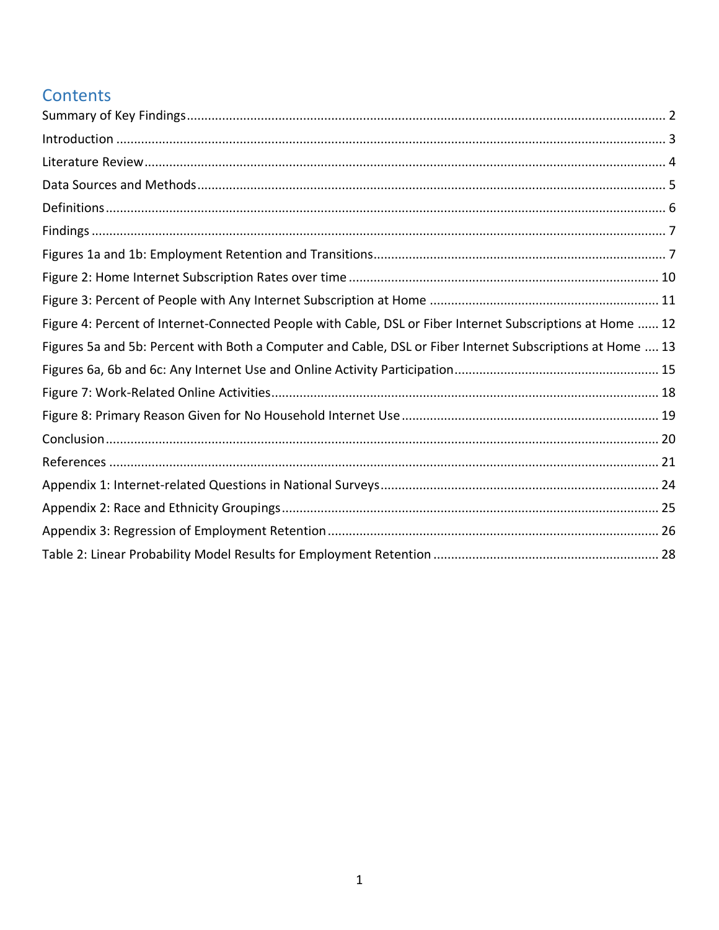# Contents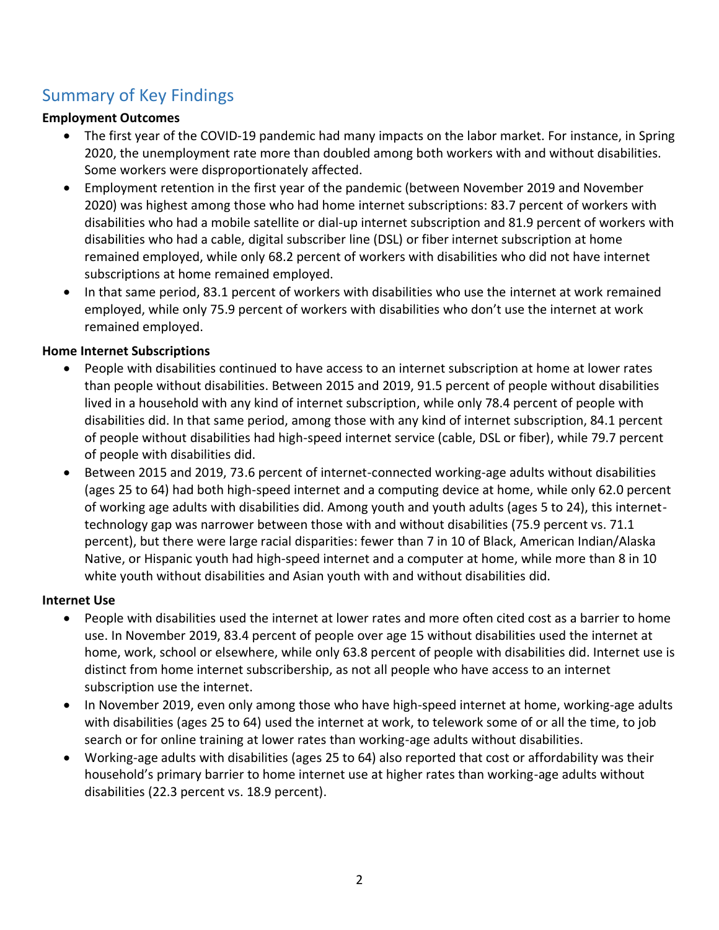# <span id="page-2-0"></span>Summary of Key Findings

#### **Employment Outcomes**

- The first year of the COVID-19 pandemic had many impacts on the labor market. For instance, in Spring 2020, the unemployment rate more than doubled among both workers with and without disabilities. Some workers were disproportionately affected.
- Employment retention in the first year of the pandemic (between November 2019 and November 2020) was highest among those who had home internet subscriptions: 83.7 percent of workers with disabilities who had a mobile satellite or dial-up internet subscription and 81.9 percent of workers with disabilities who had a cable, digital subscriber line (DSL) or fiber internet subscription at home remained employed, while only 68.2 percent of workers with disabilities who did not have internet subscriptions at home remained employed.
- In that same period, 83.1 percent of workers with disabilities who use the internet at work remained employed, while only 75.9 percent of workers with disabilities who don't use the internet at work remained employed.

#### **Home Internet Subscriptions**

- People with disabilities continued to have access to an internet subscription at home at lower rates than people without disabilities. Between 2015 and 2019, 91.5 percent of people without disabilities lived in a household with any kind of internet subscription, while only 78.4 percent of people with disabilities did. In that same period, among those with any kind of internet subscription, 84.1 percent of people without disabilities had high-speed internet service (cable, DSL or fiber), while 79.7 percent of people with disabilities did.
- Between 2015 and 2019, 73.6 percent of internet-connected working-age adults without disabilities (ages 25 to 64) had both high-speed internet and a computing device at home, while only 62.0 percent of working age adults with disabilities did. Among youth and youth adults (ages 5 to 24), this internettechnology gap was narrower between those with and without disabilities (75.9 percent vs. 71.1 percent), but there were large racial disparities: fewer than 7 in 10 of Black, American Indian/Alaska Native, or Hispanic youth had high-speed internet and a computer at home, while more than 8 in 10 white youth without disabilities and Asian youth with and without disabilities did.

#### **Internet Use**

- People with disabilities used the internet at lower rates and more often cited cost as a barrier to home use. In November 2019, 83.4 percent of people over age 15 without disabilities used the internet at home, work, school or elsewhere, while only 63.8 percent of people with disabilities did. Internet use is distinct from home internet subscribership, as not all people who have access to an internet subscription use the internet.
- In November 2019, even only among those who have high-speed internet at home, working-age adults with disabilities (ages 25 to 64) used the internet at work, to telework some of or all the time, to job search or for online training at lower rates than working-age adults without disabilities.
- Working-age adults with disabilities (ages 25 to 64) also reported that cost or affordability was their household's primary barrier to home internet use at higher rates than working-age adults without disabilities (22.3 percent vs. 18.9 percent).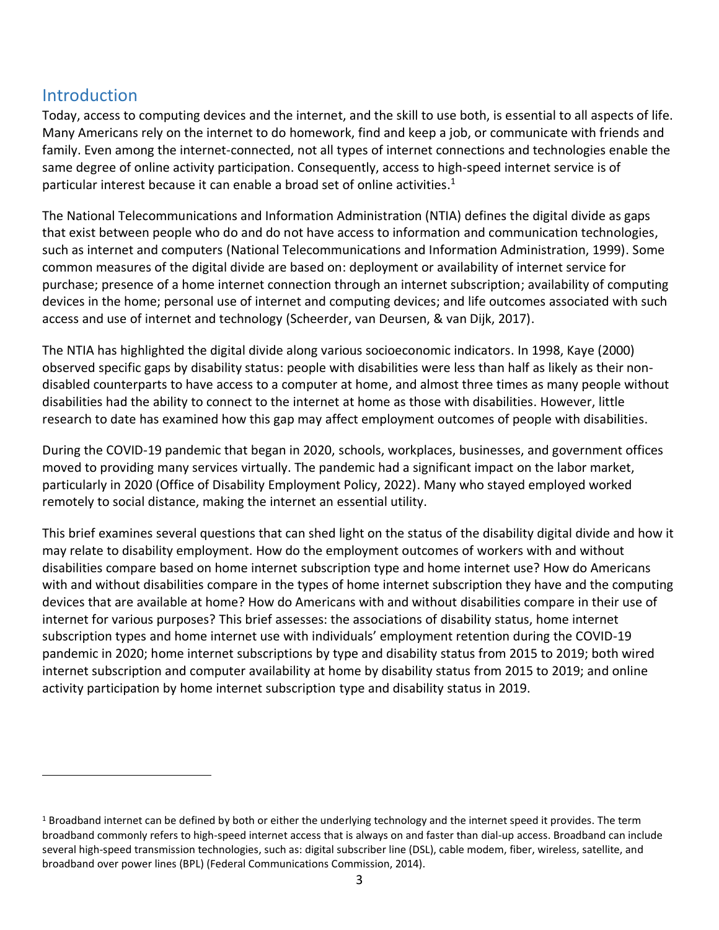# <span id="page-3-0"></span>Introduction

Today, access to computing devices and the internet, and the skill to use both, is essential to all aspects of life. Many Americans rely on the internet to do homework, find and keep a job, or communicate with friends and family. Even among the internet-connected, not all types of internet connections and technologies enable the same degree of online activity participation. Consequently, access to high-speed internet service is of particular interest because it can enable a broad set of online activities.<sup>1</sup>

The National Telecommunications and Information Administration (NTIA) defines the digital divide as gaps that exist between people who do and do not have access to information and communication technologies, such as internet and computers (National Telecommunications and Information Administration, 1999). Some common measures of the digital divide are based on: deployment or availability of internet service for purchase; presence of a home internet connection through an internet subscription; availability of computing devices in the home; personal use of internet and computing devices; and life outcomes associated with such access and use of internet and technology (Scheerder, van Deursen, & van Dijk, 2017).

The NTIA has highlighted the digital divide along various socioeconomic indicators. In 1998, Kaye (2000) observed specific gaps by disability status: people with disabilities were less than half as likely as their nondisabled counterparts to have access to a computer at home, and almost three times as many people without disabilities had the ability to connect to the internet at home as those with disabilities. However, little research to date has examined how this gap may affect employment outcomes of people with disabilities.

During the COVID-19 pandemic that began in 2020, schools, workplaces, businesses, and government offices moved to providing many services virtually. The pandemic had a significant impact on the labor market, particularly in 2020 (Office of Disability Employment Policy, 2022). Many who stayed employed worked remotely to social distance, making the internet an essential utility.

This brief examines several questions that can shed light on the status of the disability digital divide and how it may relate to disability employment. How do the employment outcomes of workers with and without disabilities compare based on home internet subscription type and home internet use? How do Americans with and without disabilities compare in the types of home internet subscription they have and the computing devices that are available at home? How do Americans with and without disabilities compare in their use of internet for various purposes? This brief assesses: the associations of disability status, home internet subscription types and home internet use with individuals' employment retention during the COVID-19 pandemic in 2020; home internet subscriptions by type and disability status from 2015 to 2019; both wired internet subscription and computer availability at home by disability status from 2015 to 2019; and online activity participation by home internet subscription type and disability status in 2019.

 $1$  Broadband internet can be defined by both or either the underlying technology and the internet speed it provides. The term broadband commonly refers to high-speed internet access that is always on and faster than dial-up access. Broadband can include several high-speed transmission technologies, such as: digital subscriber line (DSL), cable modem, fiber, wireless, satellite, and broadband over power lines (BPL) (Federal Communications Commission, 2014).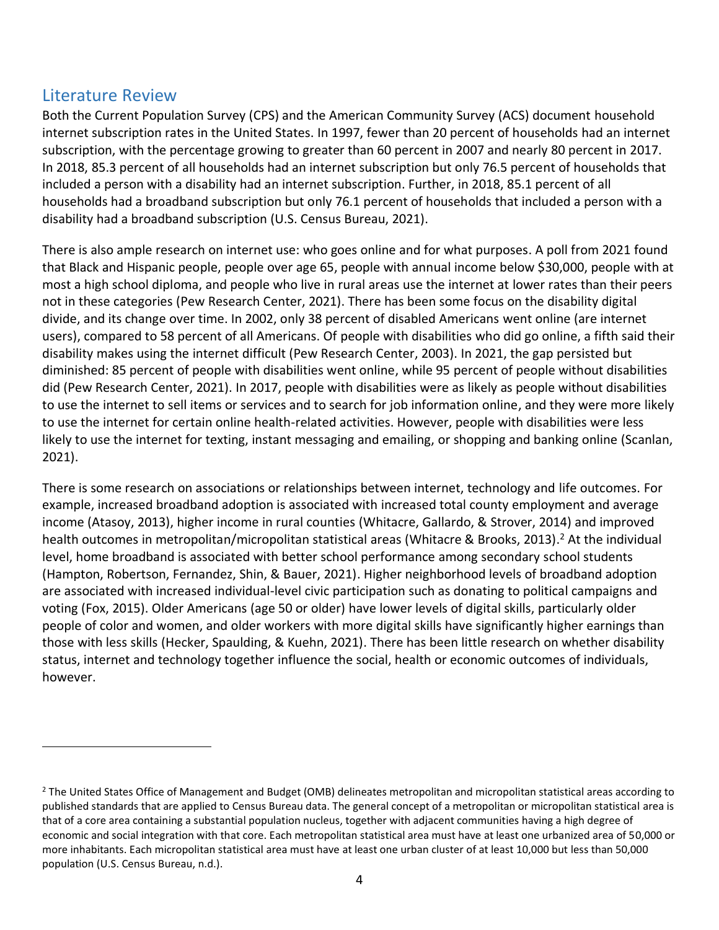## <span id="page-4-0"></span>Literature Review

Both the Current Population Survey (CPS) and the American Community Survey (ACS) document household internet subscription rates in the United States. In 1997, fewer than 20 percent of households had an internet subscription, with the percentage growing to greater than 60 percent in 2007 and nearly 80 percent in 2017. In 2018, 85.3 percent of all households had an internet subscription but only 76.5 percent of households that included a person with a disability had an internet subscription. Further, in 2018, 85.1 percent of all households had a broadband subscription but only 76.1 percent of households that included a person with a disability had a broadband subscription (U.S. Census Bureau, 2021).

There is also ample research on internet use: who goes online and for what purposes. A poll from 2021 found that Black and Hispanic people, people over age 65, people with annual income below \$30,000, people with at most a high school diploma, and people who live in rural areas use the internet at lower rates than their peers not in these categories (Pew Research Center, 2021). There has been some focus on the disability digital divide, and its change over time. In 2002, only 38 percent of disabled Americans went online (are internet users), compared to 58 percent of all Americans. Of people with disabilities who did go online, a fifth said their disability makes using the internet difficult (Pew Research Center, 2003). In 2021, the gap persisted but diminished: 85 percent of people with disabilities went online, while 95 percent of people without disabilities did (Pew Research Center, 2021). In 2017, people with disabilities were as likely as people without disabilities to use the internet to sell items or services and to search for job information online, and they were more likely to use the internet for certain online health-related activities. However, people with disabilities were less likely to use the internet for texting, instant messaging and emailing, or shopping and banking online (Scanlan, 2021).

There is some research on associations or relationships between internet, technology and life outcomes. For example, increased broadband adoption is associated with increased total county employment and average income (Atasoy, 2013), higher income in rural counties (Whitacre, Gallardo, & Strover, 2014) and improved health outcomes in metropolitan/micropolitan statistical areas (Whitacre & Brooks, 2013). <sup>2</sup> At the individual level, home broadband is associated with better school performance among secondary school students (Hampton, Robertson, Fernandez, Shin, & Bauer, 2021). Higher neighborhood levels of broadband adoption are associated with increased individual-level civic participation such as donating to political campaigns and voting (Fox, 2015). Older Americans (age 50 or older) have lower levels of digital skills, particularly older people of color and women, and older workers with more digital skills have significantly higher earnings than those with less skills (Hecker, Spaulding, & Kuehn, 2021). There has been little research on whether disability status, internet and technology together influence the social, health or economic outcomes of individuals, however.

<sup>&</sup>lt;sup>2</sup> The United States Office of Management and Budget (OMB) delineates metropolitan and micropolitan statistical areas according to published standards that are applied to Census Bureau data. The general concept of a metropolitan or micropolitan statistical area is that of a core area containing a substantial population nucleus, together with adjacent communities having a high degree of economic and social integration with that core. Each metropolitan statistical area must have at least one urbanized area of 50,000 or more inhabitants. Each micropolitan statistical area must have at least one urban cluster of at least 10,000 but less than 50,000 population (U.S. Census Bureau, n.d.).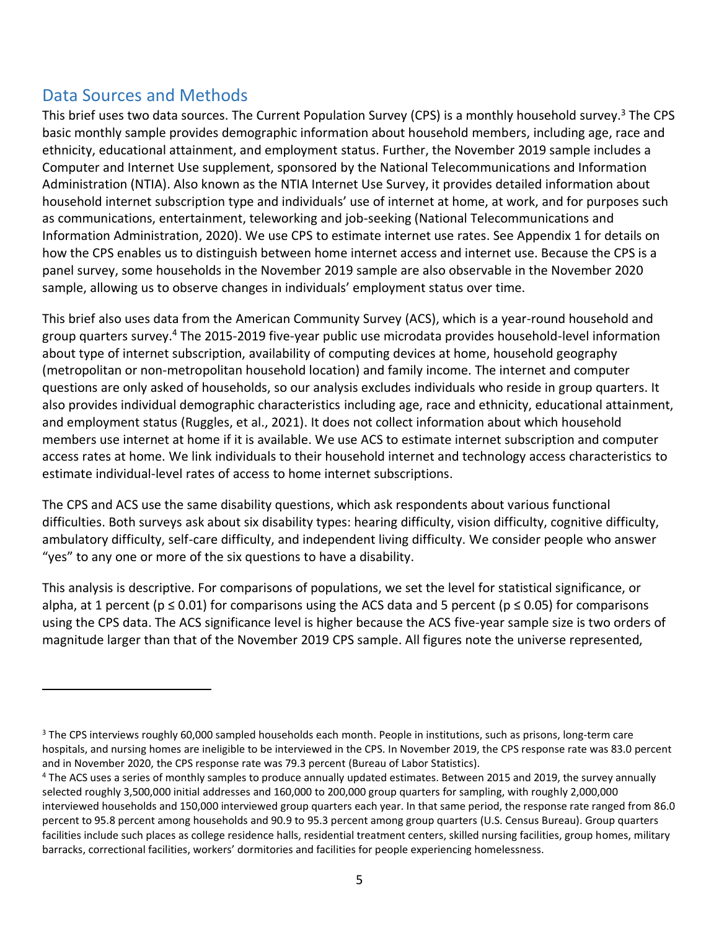# <span id="page-5-0"></span>Data Sources and Methods

This brief uses two data sources. The Current Population Survey (CPS) is a monthly household survey.<sup>3</sup> The CPS basic monthly sample provides demographic information about household members, including age, race and ethnicity, educational attainment, and employment status. Further, the November 2019 sample includes a Computer and Internet Use supplement, sponsored by the National Telecommunications and Information Administration (NTIA). Also known as the NTIA Internet Use Survey, it provides detailed information about household internet subscription type and individuals' use of internet at home, at work, and for purposes such as communications, entertainment, teleworking and job-seeking (National Telecommunications and Information Administration, 2020). We use CPS to estimate internet use rates. See Appendix 1 for details on how the CPS enables us to distinguish between home internet access and internet use. Because the CPS is a panel survey, some households in the November 2019 sample are also observable in the November 2020 sample, allowing us to observe changes in individuals' employment status over time.

This brief also uses data from the American Community Survey (ACS), which is a year-round household and group quarters survey. <sup>4</sup> The 2015-2019 five-year public use microdata provides household-level information about type of internet subscription, availability of computing devices at home, household geography (metropolitan or non-metropolitan household location) and family income. The internet and computer questions are only asked of households, so our analysis excludes individuals who reside in group quarters. It also provides individual demographic characteristics including age, race and ethnicity, educational attainment, and employment status (Ruggles, et al., 2021). It does not collect information about which household members use internet at home if it is available. We use ACS to estimate internet subscription and computer access rates at home. We link individuals to their household internet and technology access characteristics to estimate individual-level rates of access to home internet subscriptions.

The CPS and ACS use the same disability questions, which ask respondents about various functional difficulties. Both surveys ask about six disability types: hearing difficulty, vision difficulty, cognitive difficulty, ambulatory difficulty, self-care difficulty, and independent living difficulty. We consider people who answer "yes" to any one or more of the six questions to have a disability.

This analysis is descriptive. For comparisons of populations, we set the level for statistical significance, or alpha, at 1 percent ( $p \le 0.01$ ) for comparisons using the ACS data and 5 percent ( $p \le 0.05$ ) for comparisons using the CPS data. The ACS significance level is higher because the ACS five-year sample size is two orders of magnitude larger than that of the November 2019 CPS sample. All figures note the universe represented,

<sup>&</sup>lt;sup>3</sup> The CPS interviews roughly 60,000 sampled households each month. People in institutions, such as prisons, long-term care hospitals, and nursing homes are ineligible to be interviewed in the CPS. In November 2019, the CPS response rate was 83.0 percent and in November 2020, the CPS response rate was 79.3 percent (Bureau of Labor Statistics).

<sup>4</sup> The ACS uses a series of monthly samples to produce annually updated estimates. Between 2015 and 2019, the survey annually selected roughly 3,500,000 initial addresses and 160,000 to 200,000 group quarters for sampling, with roughly 2,000,000 interviewed households and 150,000 interviewed group quarters each year. In that same period, the response rate ranged from 86.0 percent to 95.8 percent among households and 90.9 to 95.3 percent among group quarters (U.S. Census Bureau). Group quarters facilities include such places as college residence halls, residential treatment centers, skilled nursing facilities, group homes, military barracks, correctional facilities, workers' dormitories and facilities for people experiencing homelessness.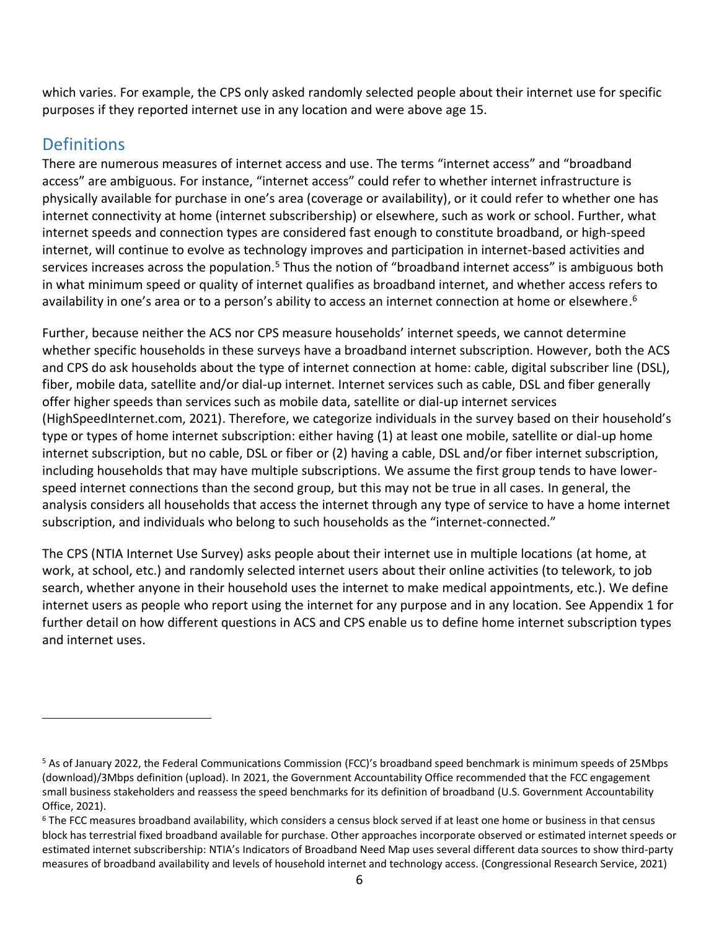which varies. For example, the CPS only asked randomly selected people about their internet use for specific purposes if they reported internet use in any location and were above age 15.

# <span id="page-6-0"></span>**Definitions**

There are numerous measures of internet access and use. The terms "internet access" and "broadband access" are ambiguous. For instance, "internet access" could refer to whether internet infrastructure is physically available for purchase in one's area (coverage or availability), or it could refer to whether one has internet connectivity at home (internet subscribership) or elsewhere, such as work or school. Further, what internet speeds and connection types are considered fast enough to constitute broadband, or high-speed internet, will continue to evolve as technology improves and participation in internet-based activities and services increases across the population.<sup>5</sup> Thus the notion of "broadband internet access" is ambiguous both in what minimum speed or quality of internet qualifies as broadband internet, and whether access refers to availability in one's area or to a person's ability to access an internet connection at home or elsewhere.<sup>6</sup>

Further, because neither the ACS nor CPS measure households' internet speeds, we cannot determine whether specific households in these surveys have a broadband internet subscription. However, both the ACS and CPS do ask households about the type of internet connection at home: cable, digital subscriber line (DSL), fiber, mobile data, satellite and/or dial-up internet. Internet services such as cable, DSL and fiber generally offer higher speeds than services such as mobile data, satellite or dial-up internet services (HighSpeedInternet.com, 2021). Therefore, we categorize individuals in the survey based on their household's type or types of home internet subscription: either having (1) at least one mobile, satellite or dial-up home internet subscription, but no cable, DSL or fiber or (2) having a cable, DSL and/or fiber internet subscription, including households that may have multiple subscriptions. We assume the first group tends to have lowerspeed internet connections than the second group, but this may not be true in all cases. In general, the analysis considers all households that access the internet through any type of service to have a home internet subscription, and individuals who belong to such households as the "internet-connected."

The CPS (NTIA Internet Use Survey) asks people about their internet use in multiple locations (at home, at work, at school, etc.) and randomly selected internet users about their online activities (to telework, to job search, whether anyone in their household uses the internet to make medical appointments, etc.). We define internet users as people who report using the internet for any purpose and in any location. See Appendix 1 for further detail on how different questions in ACS and CPS enable us to define home internet subscription types and internet uses.

<sup>5</sup> As of January 2022, the Federal Communications Commission (FCC)'s broadband speed benchmark is minimum speeds of 25Mbps (download)/3Mbps definition (upload). In 2021, the Government Accountability Office recommended that the FCC engagement small business stakeholders and reassess the speed benchmarks for its definition of broadband (U.S. Government Accountability Office, 2021).

<sup>&</sup>lt;sup>6</sup> The FCC measures broadband availability, which considers a census block served if at least one home or business in that census block has terrestrial fixed broadband available for purchase. Other approaches incorporate observed or estimated internet speeds or estimated internet subscribership: NTIA's Indicators of Broadband Need Map uses several different data sources to show third-party measures of broadband availability and levels of household internet and technology access. (Congressional Research Service, 2021)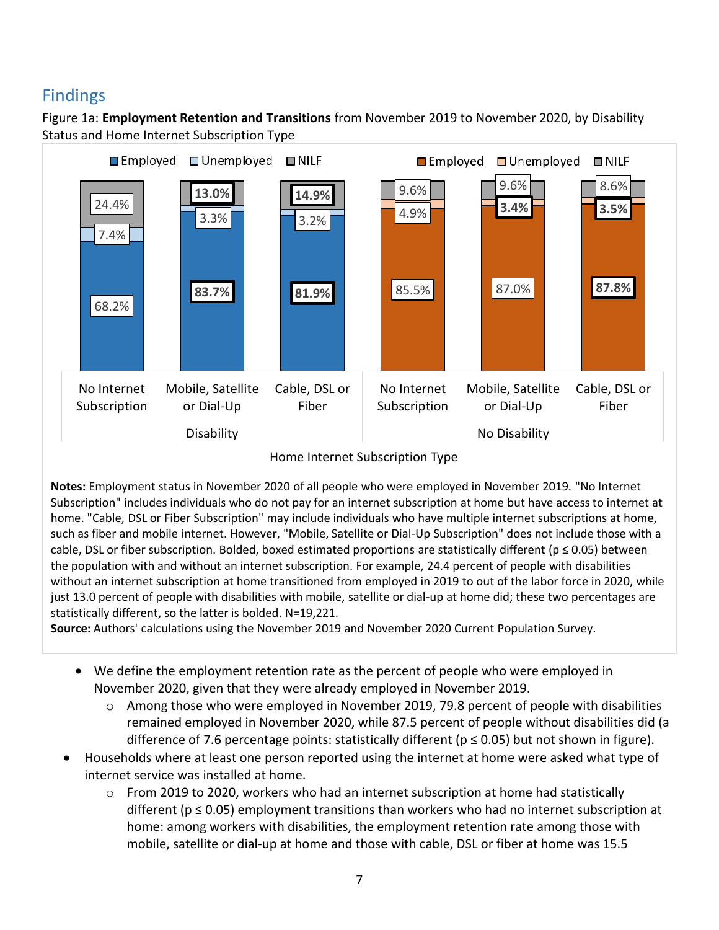# <span id="page-7-0"></span>Findings

<span id="page-7-1"></span>Figure 1a: **Employment Retention and Transitions** from November 2019 to November 2020, by Disability Status and Home Internet Subscription Type



Home Internet Subscription Type

**Notes:** Employment status in November 2020 of all people who were employed in November 2019. "No Internet Subscription" includes individuals who do not pay for an internet subscription at home but have access to internet at home. "Cable, DSL or Fiber Subscription" may include individuals who have multiple internet subscriptions at home, such as fiber and mobile internet. However, "Mobile, Satellite or Dial-Up Subscription" does not include those with a cable, DSL or fiber subscription. Bolded, boxed estimated proportions are statistically different ( $p \le 0.05$ ) between the population with and without an internet subscription. For example, 24.4 percent of people with disabilities without an internet subscription at home transitioned from employed in 2019 to out of the labor force in 2020, while just 13.0 percent of people with disabilities with mobile, satellite or dial-up at home did; these two percentages are statistically different, so the latter is bolded. N=19,221.

**Source:** Authors' calculations using the November 2019 and November 2020 Current Population Survey.

- We define the employment retention rate as the percent of people who were employed in November 2020, given that they were already employed in November 2019.
	- o Among those who were employed in November 2019, 79.8 percent of people with disabilities remained employed in November 2020, while 87.5 percent of people without disabilities did (a difference of 7.6 percentage points: statistically different ( $p \le 0.05$ ) but not shown in figure).
- Households where at least one person reported using the internet at home were asked what type of internet service was installed at home.
	- $\circ$  From 2019 to 2020, workers who had an internet subscription at home had statistically different ( $p \le 0.05$ ) employment transitions than workers who had no internet subscription at home: among workers with disabilities, the employment retention rate among those with mobile, satellite or dial-up at home and those with cable, DSL or fiber at home was 15.5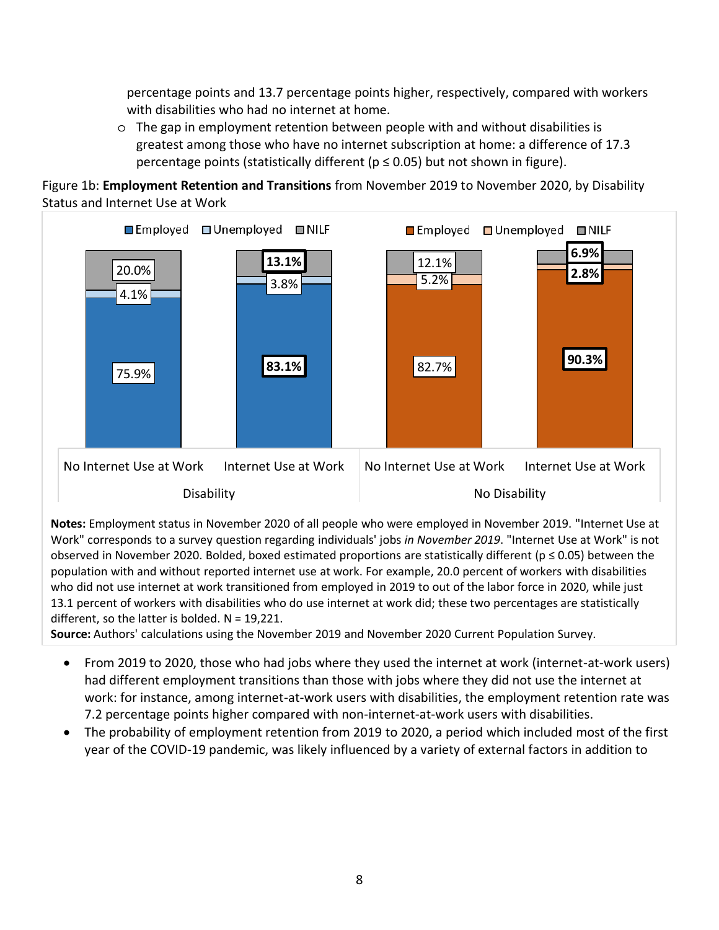percentage points and 13.7 percentage points higher, respectively, compared with workers with disabilities who had no internet at home.

 $\circ$  The gap in employment retention between people with and without disabilities is greatest among those who have no internet subscription at home: a difference of 17.3 percentage points (statistically different ( $p \le 0.05$ ) but not shown in figure).

Figure 1b: **Employment Retention and Transitions** from November 2019 to November 2020, by Disability Status and Internet Use at Work



**Notes:** Employment status in November 2020 of all people who were employed in November 2019. "Internet Use at Work" corresponds to a survey question regarding individuals' jobs *in November 2019*. "Internet Use at Work" is not observed in November 2020. Bolded, boxed estimated proportions are statistically different ( $p \le 0.05$ ) between the population with and without reported internet use at work. For example, 20.0 percent of workers with disabilities who did not use internet at work transitioned from employed in 2019 to out of the labor force in 2020, while just 13.1 percent of workers with disabilities who do use internet at work did; these two percentages are statistically different, so the latter is bolded. N = 19,221.

**Source:** Authors' calculations using the November 2019 and November 2020 Current Population Survey.

- From 2019 to 2020, those who had jobs where they used the internet at work (internet-at-work users) had different employment transitions than those with jobs where they did not use the internet at work: for instance, among internet-at-work users with disabilities, the employment retention rate was 7.2 percentage points higher compared with non-internet-at-work users with disabilities.
- The probability of employment retention from 2019 to 2020, a period which included most of the first year of the COVID-19 pandemic, was likely influenced by a variety of external factors in addition to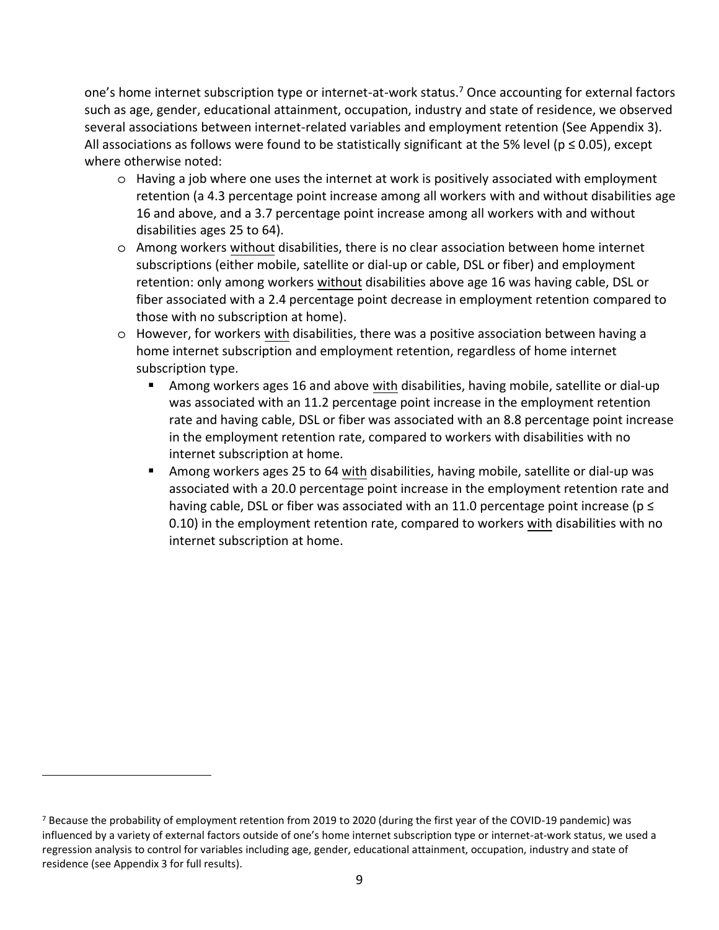one's home internet subscription type or internet-at-work status.<sup>7</sup> Once accounting for external factors such as age, gender, educational attainment, occupation, industry and state of residence, we observed several associations between internet-related variables and employment retention (See Appendix 3). All associations as follows were found to be statistically significant at the 5% level ( $p \le 0.05$ ), except where otherwise noted:

- o Having a job where one uses the internet at work is positively associated with employment retention (a 4.3 percentage point increase among all workers with and without disabilities age 16 and above, and a 3.7 percentage point increase among all workers with and without disabilities ages 25 to 64).
- o Among workers without disabilities, there is no clear association between home internet subscriptions (either mobile, satellite or dial-up or cable, DSL or fiber) and employment retention: only among workers without disabilities above age 16 was having cable, DSL or fiber associated with a 2.4 percentage point decrease in employment retention compared to those with no subscription at home).
- o However, for workers with disabilities, there was a positive association between having a home internet subscription and employment retention, regardless of home internet subscription type.
	- Among workers ages 16 and above with disabilities, having mobile, satellite or dial-up was associated with an 11.2 percentage point increase in the employment retention rate and having cable, DSL or fiber was associated with an 8.8 percentage point increase in the employment retention rate, compared to workers with disabilities with no internet subscription at home.
	- Among workers ages 25 to 64 with disabilities, having mobile, satellite or dial-up was associated with a 20.0 percentage point increase in the employment retention rate and having cable, DSL or fiber was associated with an 11.0 percentage point increase ( $p \leq$ 0.10) in the employment retention rate, compared to workers with disabilities with no internet subscription at home.

<sup>7</sup> Because the probability of employment retention from 2019 to 2020 (during the first year of the COVID-19 pandemic) was influenced by a variety of external factors outside of one's home internet subscription type or internet-at-work status, we used a regression analysis to control for variables including age, gender, educational attainment, occupation, industry and state of residence (see Appendix 3 for full results).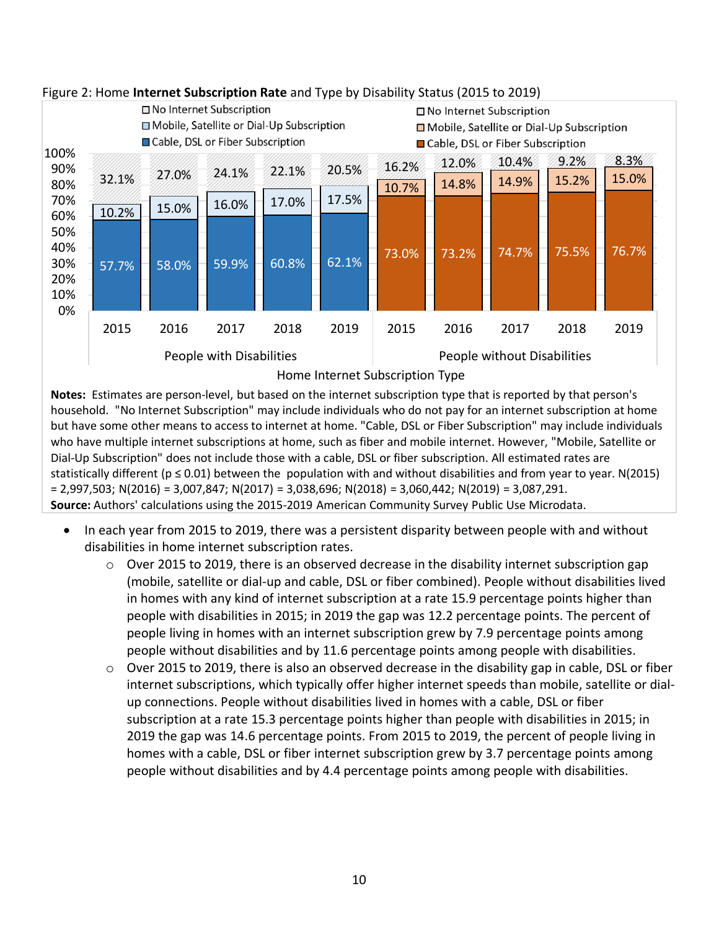

#### <span id="page-10-0"></span>Figure 2: Home **Internet Subscription Rate** and Type by Disability Status (2015 to 2019)

**Notes:** Estimates are person-level, but based on the internet subscription type that is reported by that person's household. "No Internet Subscription" may include individuals who do not pay for an internet subscription at home but have some other means to access to internet at home. "Cable, DSL or Fiber Subscription" may include individuals who have multiple internet subscriptions at home, such as fiber and mobile internet. However, "Mobile, Satellite or Dial-Up Subscription" does not include those with a cable, DSL or fiber subscription. All estimated rates are statistically different ( $p \le 0.01$ ) between the population with and without disabilities and from year to year. N(2015) = 2,997,503; N(2016) = 3,007,847; N(2017) = 3,038,696; N(2018) = 3,060,442; N(2019) = 3,087,291. **Source:** Authors' calculations using the 2015-2019 American Community Survey Public Use Microdata.

- In each year from 2015 to 2019, there was a persistent disparity between people with and without disabilities in home internet subscription rates.
	- o Over 2015 to 2019, there is an observed decrease in the disability internet subscription gap (mobile, satellite or dial-up and cable, DSL or fiber combined). People without disabilities lived in homes with any kind of internet subscription at a rate 15.9 percentage points higher than people with disabilities in 2015; in 2019 the gap was 12.2 percentage points. The percent of people living in homes with an internet subscription grew by 7.9 percentage points among people without disabilities and by 11.6 percentage points among people with disabilities.
	- o Over 2015 to 2019, there is also an observed decrease in the disability gap in cable, DSL or fiber internet subscriptions, which typically offer higher internet speeds than mobile, satellite or dialup connections. People without disabilities lived in homes with a cable, DSL or fiber subscription at a rate 15.3 percentage points higher than people with disabilities in 2015; in 2019 the gap was 14.6 percentage points. From 2015 to 2019, the percent of people living in homes with a cable, DSL or fiber internet subscription grew by 3.7 percentage points among people without disabilities and by 4.4 percentage points among people with disabilities.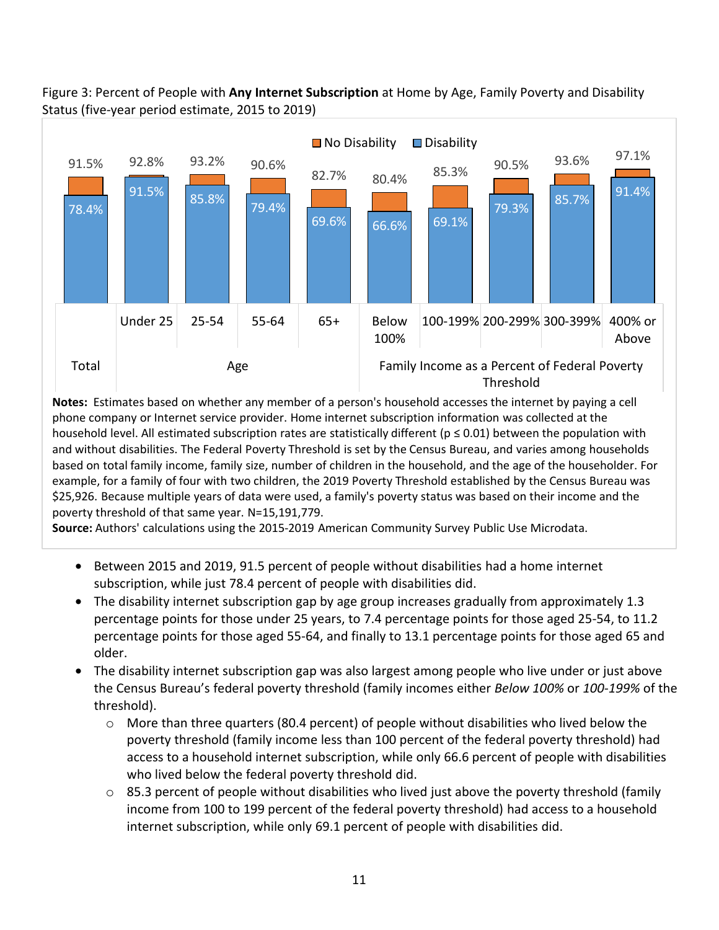

## <span id="page-11-0"></span>Figure 3: Percent of People with **Any Internet Subscription** at Home by Age, Family Poverty and Disability Status (five-year period estimate, 2015 to 2019)

**Notes:** Estimates based on whether any member of a person's household accesses the internet by paying a cell phone company or Internet service provider. Home internet subscription information was collected at the household level. All estimated subscription rates are statistically different ( $p \le 0.01$ ) between the population with and without disabilities. The Federal Poverty Threshold is set by the Census Bureau, and varies among households based on total family income, family size, number of children in the household, and the age of the householder. For example, for a family of four with two children, the 2019 Poverty Threshold established by the Census Bureau was \$25,926. Because multiple years of data were used, a family's poverty status was based on their income and the poverty threshold of that same year. N=15,191,779.

**Source:** Authors' calculations using the 2015-2019 American Community Survey Public Use Microdata.

- Between 2015 and 2019, 91.5 percent of people without disabilities had a home internet subscription, while just 78.4 percent of people with disabilities did.
- The disability internet subscription gap by age group increases gradually from approximately 1.3 percentage points for those under 25 years, to 7.4 percentage points for those aged 25-54, to 11.2 percentage points for those aged 55-64, and finally to 13.1 percentage points for those aged 65 and older.
- The disability internet subscription gap was also largest among people who live under or just above the Census Bureau's federal poverty threshold (family incomes either *Below 100%* or *100-199%* of the threshold).
	- o More than three quarters (80.4 percent) of people without disabilities who lived below the poverty threshold (family income less than 100 percent of the federal poverty threshold) had access to a household internet subscription, while only 66.6 percent of people with disabilities who lived below the federal poverty threshold did.
	- $\circ$  85.3 percent of people without disabilities who lived just above the poverty threshold (family income from 100 to 199 percent of the federal poverty threshold) had access to a household internet subscription, while only 69.1 percent of people with disabilities did.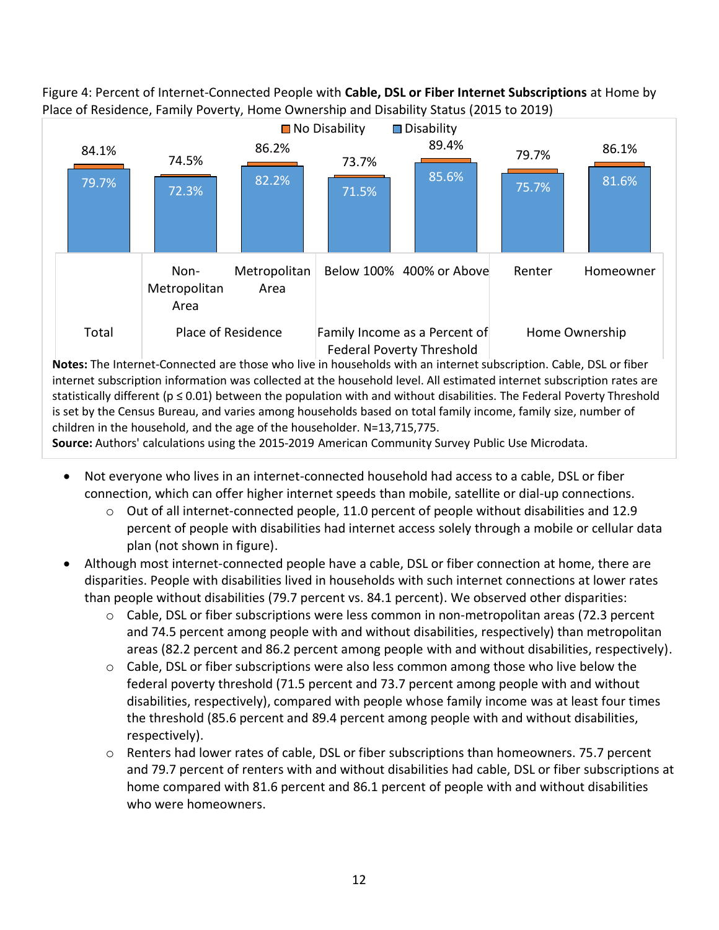

<span id="page-12-0"></span>Figure 4: Percent of Internet-Connected People with **Cable, DSL or Fiber Internet Subscriptions** at Home by Place of Residence, Family Poverty, Home Ownership and Disability Status (2015 to 2019)

**Notes:** The Internet-Connected are those who live in households with an internet subscription. Cable, DSL or fiber internet subscription information was collected at the household level. All estimated internet subscription rates are statistically different ( $p \le 0.01$ ) between the population with and without disabilities. The Federal Poverty Threshold is set by the Census Bureau, and varies among households based on total family income, family size, number of children in the household, and the age of the householder. N=13,715,775.

**Source:** Authors' calculations using the 2015-2019 American Community Survey Public Use Microdata.

- Not everyone who lives in an internet-connected household had access to a cable, DSL or fiber connection, which can offer higher internet speeds than mobile, satellite or dial-up connections.
	- $\circ$  Out of all internet-connected people, 11.0 percent of people without disabilities and 12.9 percent of people with disabilities had internet access solely through a mobile or cellular data plan (not shown in figure).
- Although most internet-connected people have a cable, DSL or fiber connection at home, there are disparities. People with disabilities lived in households with such internet connections at lower rates than people without disabilities (79.7 percent vs. 84.1 percent). We observed other disparities:
	- $\circ$  Cable, DSL or fiber subscriptions were less common in non-metropolitan areas (72.3 percent and 74.5 percent among people with and without disabilities, respectively) than metropolitan areas (82.2 percent and 86.2 percent among people with and without disabilities, respectively).
	- $\circ$  Cable, DSL or fiber subscriptions were also less common among those who live below the federal poverty threshold (71.5 percent and 73.7 percent among people with and without disabilities, respectively), compared with people whose family income was at least four times the threshold (85.6 percent and 89.4 percent among people with and without disabilities, respectively).
	- $\circ$  Renters had lower rates of cable, DSL or fiber subscriptions than homeowners. 75.7 percent and 79.7 percent of renters with and without disabilities had cable, DSL or fiber subscriptions at home compared with 81.6 percent and 86.1 percent of people with and without disabilities who were homeowners.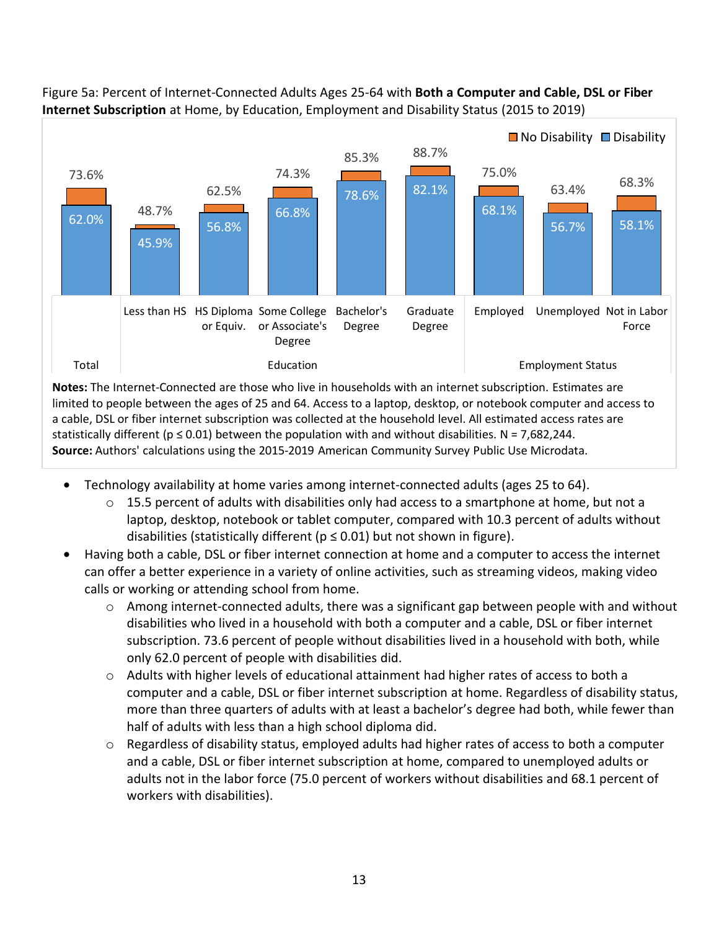

#### <span id="page-13-0"></span>Figure 5a: Percent of Internet-Connected Adults Ages 25-64 with **Both a Computer and Cable, DSL or Fiber Internet Subscription** at Home, by Education, Employment and Disability Status (2015 to 2019)

**Notes:** The Internet-Connected are those who live in households with an internet subscription. Estimates are limited to people between the ages of 25 and 64. Access to a laptop, desktop, or notebook computer and access to a cable, DSL or fiber internet subscription was collected at the household level. All estimated access rates are statistically different ( $p \le 0.01$ ) between the population with and without disabilities. N = 7,682,244. **Source:** Authors' calculations using the 2015-2019 American Community Survey Public Use Microdata.

- Technology availability at home varies among internet-connected adults (ages 25 to 64).
	- $\circ$  15.5 percent of adults with disabilities only had access to a smartphone at home, but not a laptop, desktop, notebook or tablet computer, compared with 10.3 percent of adults without disabilities (statistically different ( $p \le 0.01$ ) but not shown in figure).
- Having both a cable, DSL or fiber internet connection at home and a computer to access the internet can offer a better experience in a variety of online activities, such as streaming videos, making video calls or working or attending school from home.
	- o Among internet-connected adults, there was a significant gap between people with and without disabilities who lived in a household with both a computer and a cable, DSL or fiber internet subscription. 73.6 percent of people without disabilities lived in a household with both, while only 62.0 percent of people with disabilities did.
	- o Adults with higher levels of educational attainment had higher rates of access to both a computer and a cable, DSL or fiber internet subscription at home. Regardless of disability status, more than three quarters of adults with at least a bachelor's degree had both, while fewer than half of adults with less than a high school diploma did.
	- $\circ$  Regardless of disability status, employed adults had higher rates of access to both a computer and a cable, DSL or fiber internet subscription at home, compared to unemployed adults or adults not in the labor force (75.0 percent of workers without disabilities and 68.1 percent of workers with disabilities).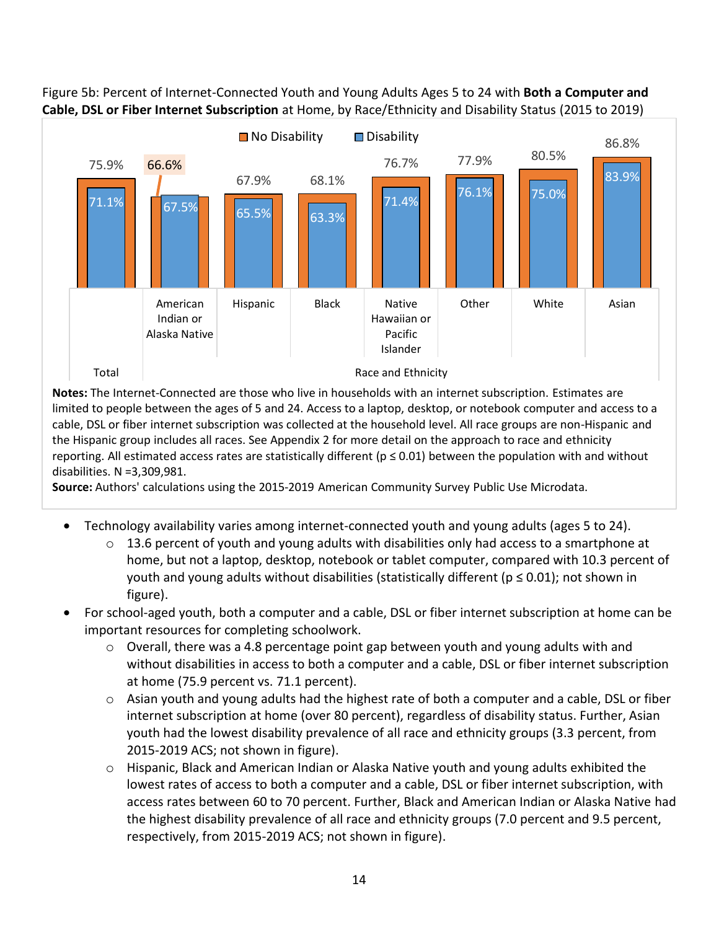

Figure 5b: Percent of Internet-Connected Youth and Young Adults Ages 5 to 24 with **Both a Computer and Cable, DSL or Fiber Internet Subscription** at Home, by Race/Ethnicity and Disability Status (2015 to 2019)

**Notes:** The Internet-Connected are those who live in households with an internet subscription. Estimates are limited to people between the ages of 5 and 24. Access to a laptop, desktop, or notebook computer and access to a cable, DSL or fiber internet subscription was collected at the household level. All race groups are non-Hispanic and the Hispanic group includes all races. See Appendix 2 for more detail on the approach to race and ethnicity reporting. All estimated access rates are statistically different ( $p \le 0.01$ ) between the population with and without disabilities. N =3,309,981.

**Source:** Authors' calculations using the 2015-2019 American Community Survey Public Use Microdata.

- Technology availability varies among internet-connected youth and young adults (ages 5 to 24).
	- $\circ$  13.6 percent of youth and young adults with disabilities only had access to a smartphone at home, but not a laptop, desktop, notebook or tablet computer, compared with 10.3 percent of youth and young adults without disabilities (statistically different ( $p \le 0.01$ ); not shown in figure).
- For school-aged youth, both a computer and a cable, DSL or fiber internet subscription at home can be important resources for completing schoolwork.
	- $\circ$  Overall, there was a 4.8 percentage point gap between youth and young adults with and without disabilities in access to both a computer and a cable, DSL or fiber internet subscription at home (75.9 percent vs. 71.1 percent).
	- $\circ$  Asian youth and young adults had the highest rate of both a computer and a cable, DSL or fiber internet subscription at home (over 80 percent), regardless of disability status. Further, Asian youth had the lowest disability prevalence of all race and ethnicity groups (3.3 percent, from 2015-2019 ACS; not shown in figure).
	- o Hispanic, Black and American Indian or Alaska Native youth and young adults exhibited the lowest rates of access to both a computer and a cable, DSL or fiber internet subscription, with access rates between 60 to 70 percent. Further, Black and American Indian or Alaska Native had the highest disability prevalence of all race and ethnicity groups (7.0 percent and 9.5 percent, respectively, from 2015-2019 ACS; not shown in figure).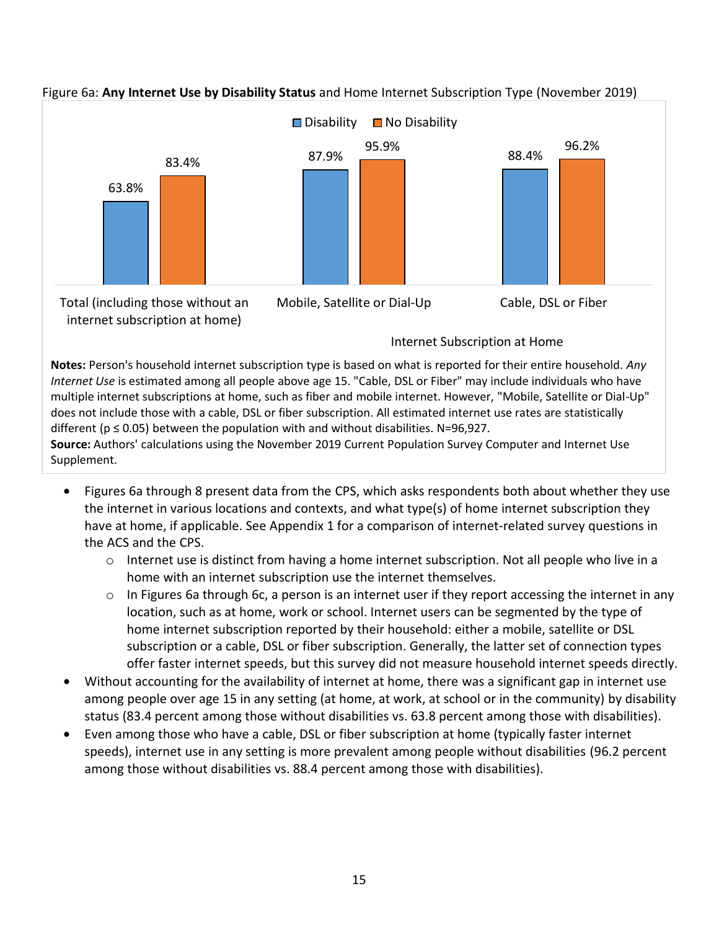

#### <span id="page-15-0"></span>Figure 6a: **Any Internet Use by Disability Status** and Home Internet Subscription Type (November 2019)

**Notes:** Person's household internet subscription type is based on what is reported for their entire household. *Any Internet Use* is estimated among all people above age 15. "Cable, DSL or Fiber" may include individuals who have multiple internet subscriptions at home, such as fiber and mobile internet. However, "Mobile, Satellite or Dial-Up" does not include those with a cable, DSL or fiber subscription. All estimated internet use rates are statistically different ( $p \le 0.05$ ) between the population with and without disabilities. N=96,927. **Source:** Authors' calculations using the November 2019 Current Population Survey Computer and Internet Use Supplement.

- Figures 6a through 8 present data from the CPS, which asks respondents both about whether they use the internet in various locations and contexts, and what type(s) of home internet subscription they have at home, if applicable. See Appendix 1 for a comparison of internet-related survey questions in the ACS and the CPS.
	- $\circ$  Internet use is distinct from having a home internet subscription. Not all people who live in a home with an internet subscription use the internet themselves.
	- o In Figures 6a through 6c, a person is an internet user if they report accessing the internet in any location, such as at home, work or school. Internet users can be segmented by the type of home internet subscription reported by their household: either a mobile, satellite or DSL subscription or a cable, DSL or fiber subscription. Generally, the latter set of connection types offer faster internet speeds, but this survey did not measure household internet speeds directly.
- Without accounting for the availability of internet at home, there was a significant gap in internet use among people over age 15 in any setting (at home, at work, at school or in the community) by disability status (83.4 percent among those without disabilities vs. 63.8 percent among those with disabilities).
- Even among those who have a cable, DSL or fiber subscription at home (typically faster internet speeds), internet use in any setting is more prevalent among people without disabilities (96.2 percent among those without disabilities vs. 88.4 percent among those with disabilities).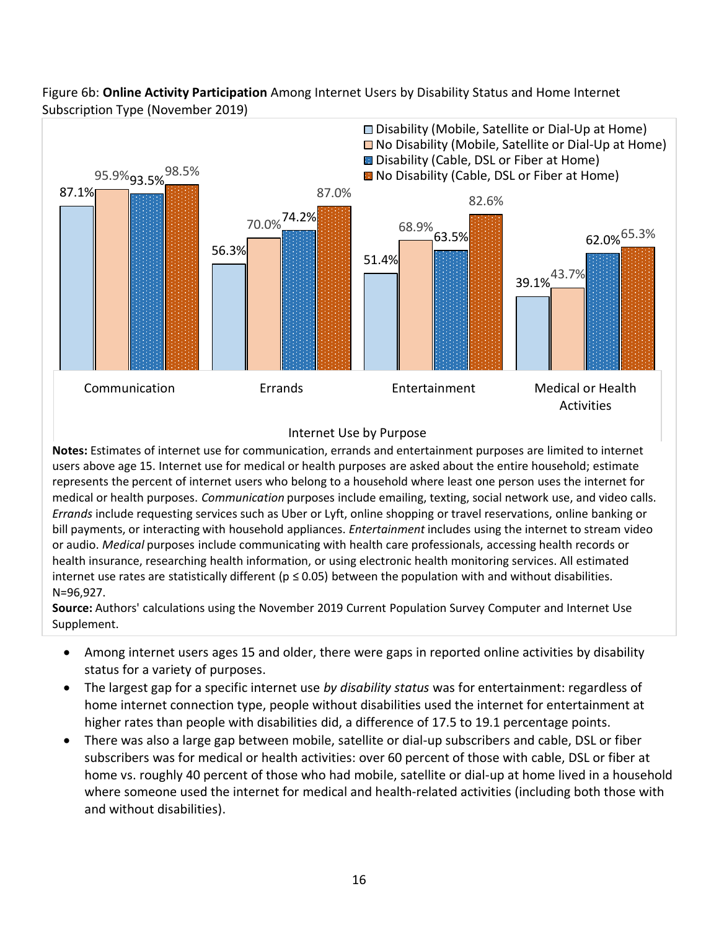

Figure 6b: **Online Activity Participation** Among Internet Users by Disability Status and Home Internet Subscription Type (November 2019)

#### Internet Use by Purpose

**Notes:** Estimates of internet use for communication, errands and entertainment purposes are limited to internet users above age 15. Internet use for medical or health purposes are asked about the entire household; estimate represents the percent of internet users who belong to a household where least one person uses the internet for medical or health purposes. *Communication* purposes include emailing, texting, social network use, and video calls. *Errands* include requesting services such as Uber or Lyft, online shopping or travel reservations, online banking or bill payments, or interacting with household appliances. *Entertainment* includes using the internet to stream video or audio. *Medical* purposes include communicating with health care professionals, accessing health records or health insurance, researching health information, or using electronic health monitoring services. All estimated internet use rates are statistically different ( $p \le 0.05$ ) between the population with and without disabilities. N=96,927.

**Source:** Authors' calculations using the November 2019 Current Population Survey Computer and Internet Use Supplement.

- Among internet users ages 15 and older, there were gaps in reported online activities by disability status for a variety of purposes.
- The largest gap for a specific internet use *by disability status* was for entertainment: regardless of home internet connection type, people without disabilities used the internet for entertainment at higher rates than people with disabilities did, a difference of 17.5 to 19.1 percentage points.
- There was also a large gap between mobile, satellite or dial-up subscribers and cable, DSL or fiber subscribers was for medical or health activities: over 60 percent of those with cable, DSL or fiber at home vs. roughly 40 percent of those who had mobile, satellite or dial-up at home lived in a household where someone used the internet for medical and health-related activities (including both those with and without disabilities).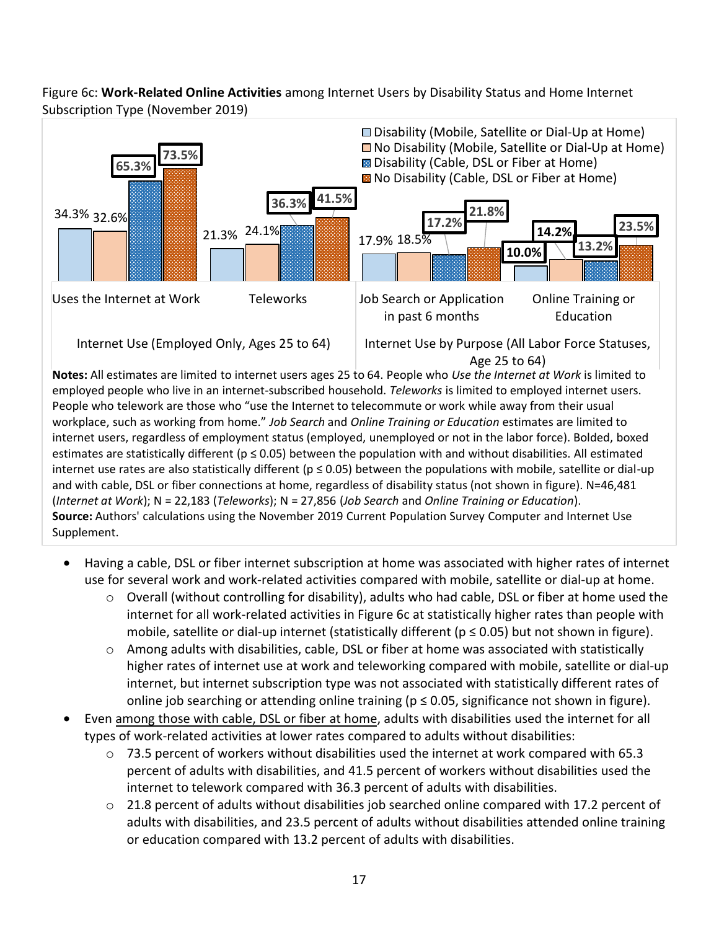Figure 6c: **Work-Related Online Activities** among Internet Users by Disability Status and Home Internet Subscription Type (November 2019)



People who telework are those who "use the Internet to telecommute or work while away from their usual workplace, such as working from home." *Job Search* and *Online Training or Education* estimates are limited to internet users, regardless of employment status (employed, unemployed or not in the labor force). Bolded, boxed estimates are statistically different ( $p \le 0.05$ ) between the population with and without disabilities. All estimated internet use rates are also statistically different ( $p \le 0.05$ ) between the populations with mobile, satellite or dial-up and with cable, DSL or fiber connections at home, regardless of disability status (not shown in figure). N=46,481 (*Internet at Work*); N = 22,183 (*Teleworks*); N = 27,856 (*Job Search* and *Online Training or Education*). **Source:** Authors' calculations using the November 2019 Current Population Survey Computer and Internet Use Supplement.

- Having a cable, DSL or fiber internet subscription at home was associated with higher rates of internet use for several work and work-related activities compared with mobile, satellite or dial-up at home.
	- $\circ$  Overall (without controlling for disability), adults who had cable, DSL or fiber at home used the internet for all work-related activities in Figure 6c at statistically higher rates than people with mobile, satellite or dial-up internet (statistically different ( $p \le 0.05$ ) but not shown in figure).
	- $\circ$  Among adults with disabilities, cable, DSL or fiber at home was associated with statistically higher rates of internet use at work and teleworking compared with mobile, satellite or dial-up internet, but internet subscription type was not associated with statistically different rates of online job searching or attending online training ( $p \le 0.05$ , significance not shown in figure).
- Even among those with cable, DSL or fiber at home, adults with disabilities used the internet for all types of work-related activities at lower rates compared to adults without disabilities:
	- $\circ$  73.5 percent of workers without disabilities used the internet at work compared with 65.3 percent of adults with disabilities, and 41.5 percent of workers without disabilities used the internet to telework compared with 36.3 percent of adults with disabilities.
	- $\circ$  21.8 percent of adults without disabilities job searched online compared with 17.2 percent of adults with disabilities, and 23.5 percent of adults without disabilities attended online training or education compared with 13.2 percent of adults with disabilities.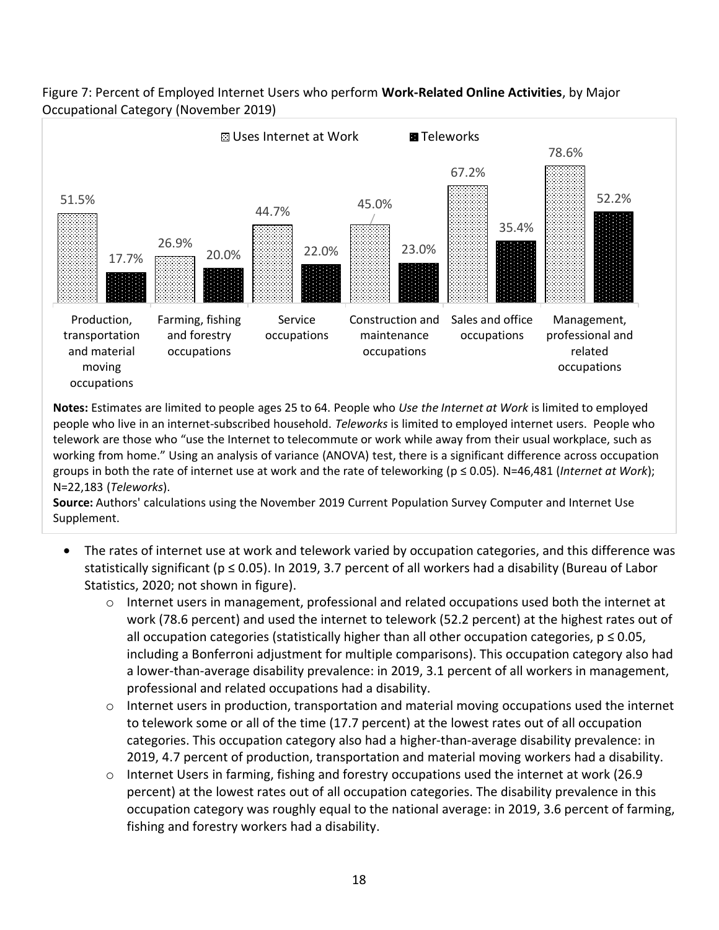

#### <span id="page-18-0"></span>Figure 7: Percent of Employed Internet Users who perform **Work-Related Online Activities**, by Major Occupational Category (November 2019)

**Notes:** Estimates are limited to people ages 25 to 64. People who *Use the Internet at Work* is limited to employed people who live in an internet-subscribed household. *Teleworks* is limited to employed internet users. People who telework are those who "use the Internet to telecommute or work while away from their usual workplace, such as working from home." Using an analysis of variance (ANOVA) test, there is a significant difference across occupation groups in both the rate of internet use at work and the rate of teleworking (p ≤ 0.05). N=46,481 (*Internet at Work*); N=22,183 (*Teleworks*).

**Source:** Authors' calculations using the November 2019 Current Population Survey Computer and Internet Use Supplement.

- <span id="page-18-1"></span>The rates of internet use at work and telework varied by occupation categories, and this difference was statistically significant (p ≤ 0.05). In 2019, 3.7 percent of all workers had a disability (Bureau of Labor Statistics, 2020; not shown in figure).
	- o Internet users in management, professional and related occupations used both the internet at work (78.6 percent) and used the internet to telework (52.2 percent) at the highest rates out of all occupation categories (statistically higher than all other occupation categories,  $p \le 0.05$ , including a Bonferroni adjustment for multiple comparisons). This occupation category also had a lower-than-average disability prevalence: in 2019, 3.1 percent of all workers in management, professional and related occupations had a disability.
	- o Internet users in production, transportation and material moving occupations used the internet to telework some or all of the time (17.7 percent) at the lowest rates out of all occupation categories. This occupation category also had a higher-than-average disability prevalence: in 2019, 4.7 percent of production, transportation and material moving workers had a disability.
	- o Internet Users in farming, fishing and forestry occupations used the internet at work (26.9 percent) at the lowest rates out of all occupation categories. The disability prevalence in this occupation category was roughly equal to the national average: in 2019, 3.6 percent of farming, fishing and forestry workers had a disability.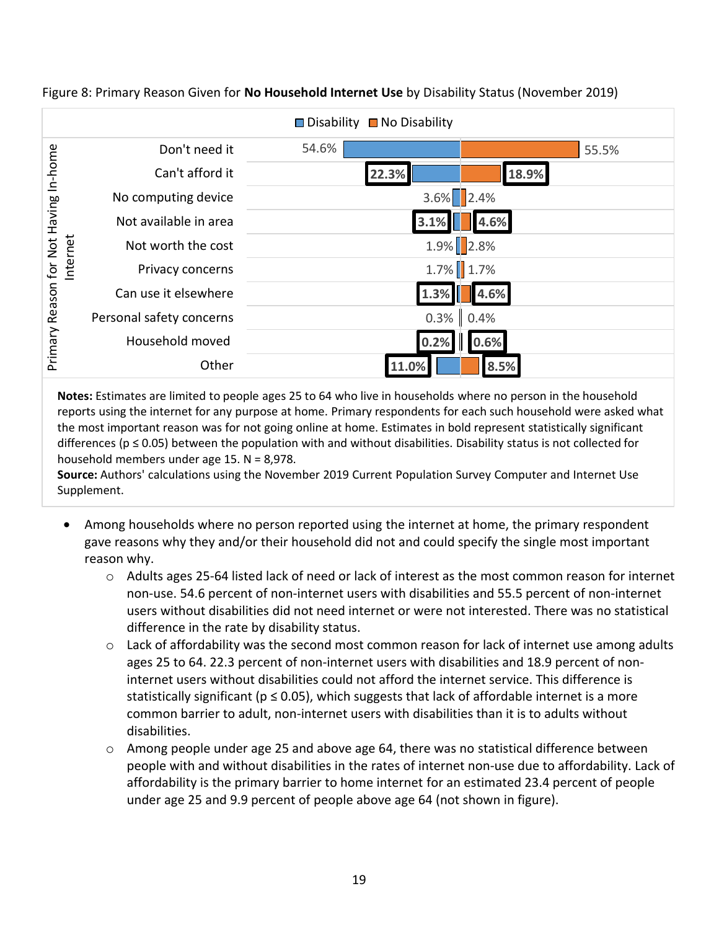|                                                         |                          | $\Box$ Disability $\Box$ No Disability |
|---------------------------------------------------------|--------------------------|----------------------------------------|
| Not Having In-home<br>Internet<br>Reason for<br>Primary | Don't need it            | 54.6%<br>55.5%                         |
|                                                         | Can't afford it          | 18.9%<br>22.3%                         |
|                                                         | No computing device      | $3.6\%$ 2.4%                           |
|                                                         | Not available in area    | 3.1%<br>4.6%                           |
|                                                         | Not worth the cost       | 1.9% 2.8%                              |
|                                                         | Privacy concerns         | $1.7\%$ 1.7%                           |
|                                                         | Can use it elsewhere     | 1.3%<br>4.6%                           |
|                                                         | Personal safety concerns | $0.3\%$ 0.4%                           |
|                                                         | Household moved          | 0.6%<br>0.2%                           |
|                                                         | Other                    | 11.0%<br>8.5%                          |

Figure 8: Primary Reason Given for **No Household Internet Use** by Disability Status (November 2019)

**Notes:** Estimates are limited to people ages 25 to 64 who live in households where no person in the household reports using the internet for any purpose at home. Primary respondents for each such household were asked what the most important reason was for not going online at home. Estimates in bold represent statistically significant differences ( $p \le 0.05$ ) between the population with and without disabilities. Disability status is not collected for household members under age 15. N = 8,978.

**Source:** Authors' calculations using the November 2019 Current Population Survey Computer and Internet Use Supplement.

- Among households where no person reported using the internet at home, the primary respondent gave reasons why they and/or their household did not and could specify the single most important reason why.
	- o Adults ages 25-64 listed lack of need or lack of interest as the most common reason for internet non-use. 54.6 percent of non-internet users with disabilities and 55.5 percent of non-internet users without disabilities did not need internet or were not interested. There was no statistical difference in the rate by disability status.
	- o Lack of affordability was the second most common reason for lack of internet use among adults ages 25 to 64. 22.3 percent of non-internet users with disabilities and 18.9 percent of noninternet users without disabilities could not afford the internet service. This difference is statistically significant ( $p \le 0.05$ ), which suggests that lack of affordable internet is a more common barrier to adult, non-internet users with disabilities than it is to adults without disabilities.
	- o Among people under age 25 and above age 64, there was no statistical difference between people with and without disabilities in the rates of internet non-use due to affordability. Lack of affordability is the primary barrier to home internet for an estimated 23.4 percent of people under age 25 and 9.9 percent of people above age 64 (not shown in figure).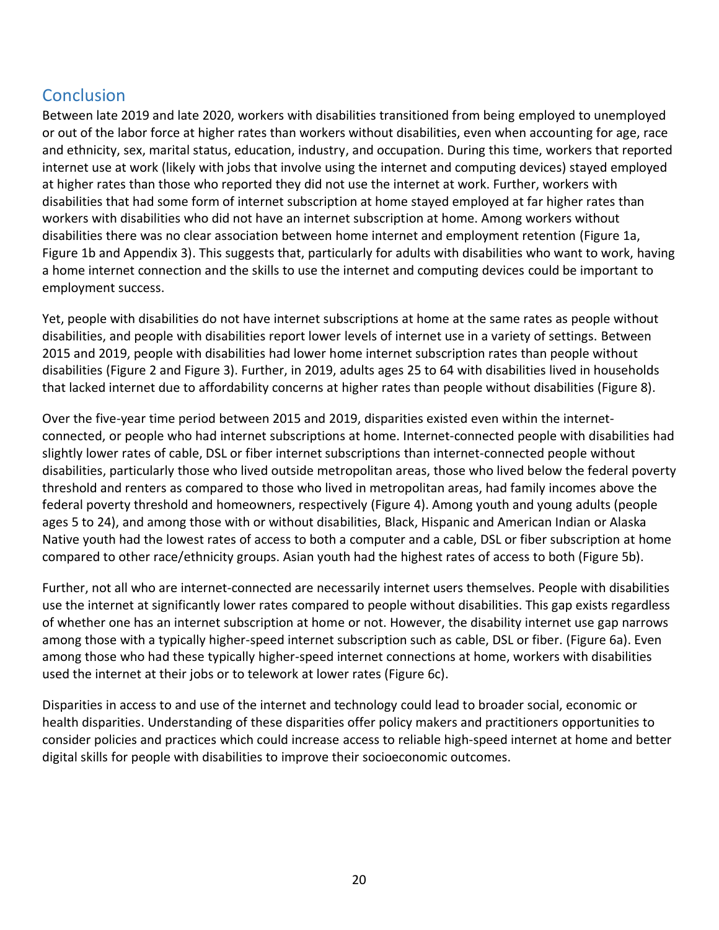# <span id="page-20-0"></span>**Conclusion**

Between late 2019 and late 2020, workers with disabilities transitioned from being employed to unemployed or out of the labor force at higher rates than workers without disabilities, even when accounting for age, race and ethnicity, sex, marital status, education, industry, and occupation. During this time, workers that reported internet use at work (likely with jobs that involve using the internet and computing devices) stayed employed at higher rates than those who reported they did not use the internet at work. Further, workers with disabilities that had some form of internet subscription at home stayed employed at far higher rates than workers with disabilities who did not have an internet subscription at home. Among workers without disabilities there was no clear association between home internet and employment retention (Figure 1a, Figure 1b and Appendix 3). This suggests that, particularly for adults with disabilities who want to work, having a home internet connection and the skills to use the internet and computing devices could be important to employment success.

Yet, people with disabilities do not have internet subscriptions at home at the same rates as people without disabilities, and people with disabilities report lower levels of internet use in a variety of settings. Between 2015 and 2019, people with disabilities had lower home internet subscription rates than people without disabilities (Figure 2 and Figure 3). Further, in 2019, adults ages 25 to 64 with disabilities lived in households that lacked internet due to affordability concerns at higher rates than people without disabilities (Figure 8).

Over the five-year time period between 2015 and 2019, disparities existed even within the internetconnected, or people who had internet subscriptions at home. Internet-connected people with disabilities had slightly lower rates of cable, DSL or fiber internet subscriptions than internet-connected people without disabilities, particularly those who lived outside metropolitan areas, those who lived below the federal poverty threshold and renters as compared to those who lived in metropolitan areas, had family incomes above the federal poverty threshold and homeowners, respectively (Figure 4). Among youth and young adults (people ages 5 to 24), and among those with or without disabilities, Black, Hispanic and American Indian or Alaska Native youth had the lowest rates of access to both a computer and a cable, DSL or fiber subscription at home compared to other race/ethnicity groups. Asian youth had the highest rates of access to both (Figure 5b).

Further, not all who are internet-connected are necessarily internet users themselves. People with disabilities use the internet at significantly lower rates compared to people without disabilities. This gap exists regardless of whether one has an internet subscription at home or not. However, the disability internet use gap narrows among those with a typically higher-speed internet subscription such as cable, DSL or fiber. (Figure 6a). Even among those who had these typically higher-speed internet connections at home, workers with disabilities used the internet at their jobs or to telework at lower rates (Figure 6c).

Disparities in access to and use of the internet and technology could lead to broader social, economic or health disparities. Understanding of these disparities offer policy makers and practitioners opportunities to consider policies and practices which could increase access to reliable high-speed internet at home and better digital skills for people with disabilities to improve their socioeconomic outcomes.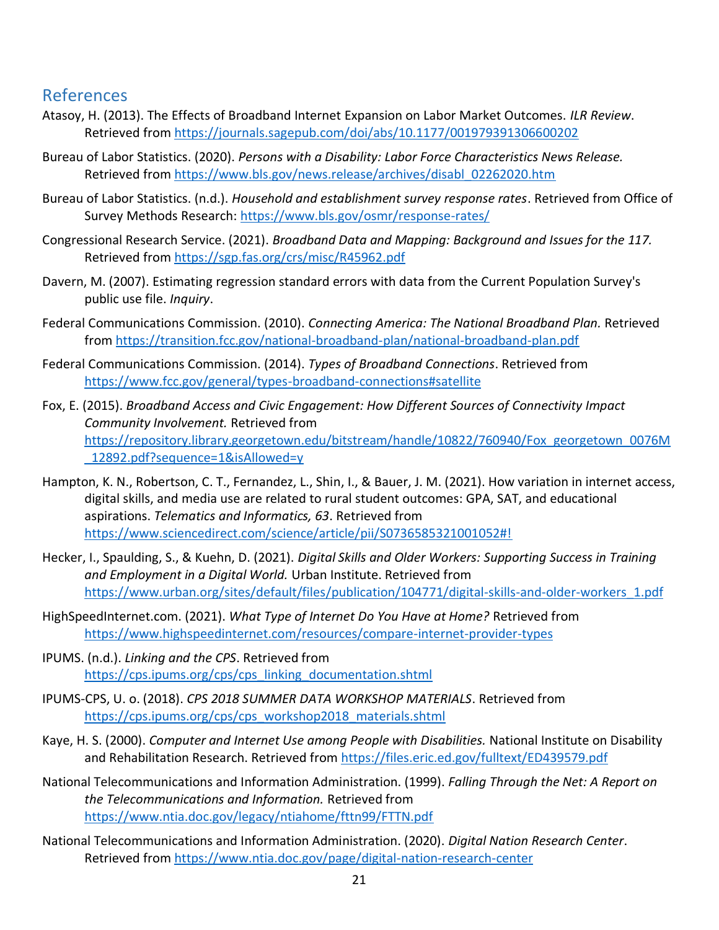### <span id="page-21-0"></span>References

- Atasoy, H. (2013). The Effects of Broadband Internet Expansion on Labor Market Outcomes. *ILR Review*. Retrieved from<https://journals.sagepub.com/doi/abs/10.1177/001979391306600202>
- Bureau of Labor Statistics. (2020). *Persons with a Disability: Labor Force Characteristics News Release.* Retrieved from [https://www.bls.gov/news.release/archives/disabl\\_02262020.htm](https://www.bls.gov/news.release/archives/disabl_02262020.htm)
- Bureau of Labor Statistics. (n.d.). *Household and establishment survey response rates*. Retrieved from Office of Survey Methods Research:<https://www.bls.gov/osmr/response-rates/>
- Congressional Research Service. (2021). *Broadband Data and Mapping: Background and Issues for the 117.* Retrieved from<https://sgp.fas.org/crs/misc/R45962.pdf>
- Davern, M. (2007). Estimating regression standard errors with data from the Current Population Survey's public use file. *Inquiry*.
- Federal Communications Commission. (2010). *Connecting America: The National Broadband Plan.* Retrieved from<https://transition.fcc.gov/national-broadband-plan/national-broadband-plan.pdf>
- Federal Communications Commission. (2014). *Types of Broadband Connections*. Retrieved from <https://www.fcc.gov/general/types-broadband-connections#satellite>
- Fox, E. (2015). *Broadband Access and Civic Engagement: How Different Sources of Connectivity Impact Community Involvement.* Retrieved from [https://repository.library.georgetown.edu/bitstream/handle/10822/760940/Fox\\_georgetown\\_0076M](https://repository.library.georgetown.edu/bitstream/handle/10822/760940/Fox_georgetown_0076M_12892.pdf?sequence=1&isAllowed=y) [\\_12892.pdf?sequence=1&isAllowed=y](https://repository.library.georgetown.edu/bitstream/handle/10822/760940/Fox_georgetown_0076M_12892.pdf?sequence=1&isAllowed=y)
- Hampton, K. N., Robertson, C. T., Fernandez, L., Shin, I., & Bauer, J. M. (2021). How variation in internet access, digital skills, and media use are related to rural student outcomes: GPA, SAT, and educational aspirations. *Telematics and Informatics, 63*. Retrieved from <https://www.sciencedirect.com/science/article/pii/S0736585321001052#!>
- Hecker, I., Spaulding, S., & Kuehn, D. (2021). *Digital Skills and Older Workers: Supporting Success in Training and Employment in a Digital World.* Urban Institute. Retrieved from [https://www.urban.org/sites/default/files/publication/104771/digital-skills-and-older-workers\\_1.pdf](https://www.urban.org/sites/default/files/publication/104771/digital-skills-and-older-workers_1.pdf)
- HighSpeedInternet.com. (2021). *What Type of Internet Do You Have at Home?* Retrieved from <https://www.highspeedinternet.com/resources/compare-internet-provider-types>
- IPUMS. (n.d.). *Linking and the CPS*. Retrieved from [https://cps.ipums.org/cps/cps\\_linking\\_documentation.shtml](https://cps.ipums.org/cps/cps_linking_documentation.shtml)
- IPUMS-CPS, U. o. (2018). *CPS 2018 SUMMER DATA WORKSHOP MATERIALS*. Retrieved from [https://cps.ipums.org/cps/cps\\_workshop2018\\_materials.shtml](https://cps.ipums.org/cps/cps_workshop2018_materials.shtml)
- Kaye, H. S. (2000). *Computer and Internet Use among People with Disabilities.* National Institute on Disability and Rehabilitation Research. Retrieved from<https://files.eric.ed.gov/fulltext/ED439579.pdf>
- National Telecommunications and Information Administration. (1999). *Falling Through the Net: A Report on the Telecommunications and Information.* Retrieved from <https://www.ntia.doc.gov/legacy/ntiahome/fttn99/FTTN.pdf>
- National Telecommunications and Information Administration. (2020). *Digital Nation Research Center*. Retrieved from<https://www.ntia.doc.gov/page/digital-nation-research-center>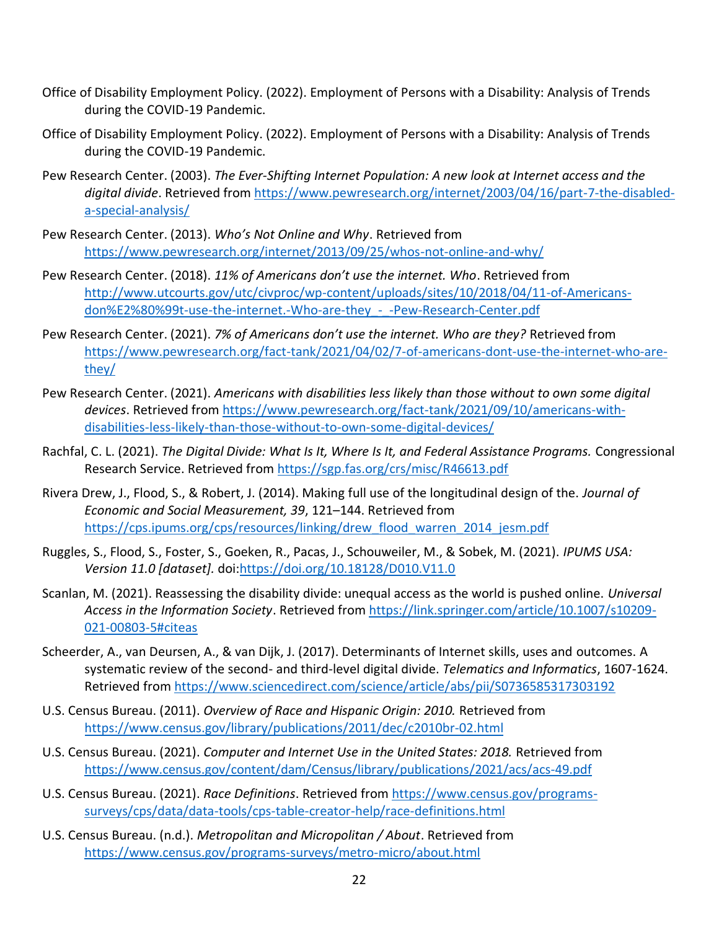- Office of Disability Employment Policy. (2022). Employment of Persons with a Disability: Analysis of Trends during the COVID-19 Pandemic.
- Office of Disability Employment Policy. (2022). Employment of Persons with a Disability: Analysis of Trends during the COVID-19 Pandemic.
- Pew Research Center. (2003). *The Ever-Shifting Internet Population: A new look at Internet access and the digital divide*. Retrieved from [https://www.pewresearch.org/internet/2003/04/16/part-7-the-disabled](https://www.pewresearch.org/internet/2003/04/16/part-7-the-disabled-a-special-analysis/)[a-special-analysis/](https://www.pewresearch.org/internet/2003/04/16/part-7-the-disabled-a-special-analysis/)
- Pew Research Center. (2013). *Who's Not Online and Why*. Retrieved from <https://www.pewresearch.org/internet/2013/09/25/whos-not-online-and-why/>
- Pew Research Center. (2018). *11% of Americans don't use the internet. Who*. Retrieved from [http://www.utcourts.gov/utc/civproc/wp-content/uploads/sites/10/2018/04/11-of-Americans](http://www.utcourts.gov/utc/civproc/wp-content/uploads/sites/10/2018/04/11-of-Americans-don%E2%80%99t-use-the-internet.-Who-are-they_-_-Pew-Research-Center.pdf)[don%E2%80%99t-use-the-internet.-Who-are-they\\_-\\_-Pew-Research-Center.pdf](http://www.utcourts.gov/utc/civproc/wp-content/uploads/sites/10/2018/04/11-of-Americans-don%E2%80%99t-use-the-internet.-Who-are-they_-_-Pew-Research-Center.pdf)
- Pew Research Center. (2021). *7% of Americans don't use the internet. Who are they?* Retrieved from [https://www.pewresearch.org/fact-tank/2021/04/02/7-of-americans-dont-use-the-internet-who-are](https://www.pewresearch.org/fact-tank/2021/04/02/7-of-americans-dont-use-the-internet-who-are-they/)[they/](https://www.pewresearch.org/fact-tank/2021/04/02/7-of-americans-dont-use-the-internet-who-are-they/)
- Pew Research Center. (2021). *Americans with disabilities less likely than those without to own some digital devices*. Retrieved from [https://www.pewresearch.org/fact-tank/2021/09/10/americans-with](https://www.pewresearch.org/fact-tank/2021/09/10/americans-with-disabilities-less-likely-than-those-without-to-own-some-digital-devices/)[disabilities-less-likely-than-those-without-to-own-some-digital-devices/](https://www.pewresearch.org/fact-tank/2021/09/10/americans-with-disabilities-less-likely-than-those-without-to-own-some-digital-devices/)
- Rachfal, C. L. (2021). *The Digital Divide: What Is It, Where Is It, and Federal Assistance Programs.* Congressional Research Service. Retrieved from<https://sgp.fas.org/crs/misc/R46613.pdf>
- Rivera Drew, J., Flood, S., & Robert, J. (2014). Making full use of the longitudinal design of the. *Journal of Economic and Social Measurement, 39*, 121–144. Retrieved from [https://cps.ipums.org/cps/resources/linking/drew\\_flood\\_warren\\_2014\\_jesm.pdf](https://cps.ipums.org/cps/resources/linking/drew_flood_warren_2014_jesm.pdf)
- Ruggles, S., Flood, S., Foster, S., Goeken, R., Pacas, J., Schouweiler, M., & Sobek, M. (2021). *IPUMS USA: Version 11.0 [dataset].* doi[:https://doi.org/10.18128/D010.V11.0](https://doi.org/10.18128/D010.V11.0)
- Scanlan, M. (2021). Reassessing the disability divide: unequal access as the world is pushed online. *Universal Access in the Information Society*. Retrieved from [https://link.springer.com/article/10.1007/s10209-](https://link.springer.com/article/10.1007/s10209-021-00803-5#citeas) [021-00803-5#citeas](https://link.springer.com/article/10.1007/s10209-021-00803-5#citeas)
- Scheerder, A., van Deursen, A., & van Dijk, J. (2017). Determinants of Internet skills, uses and outcomes. A systematic review of the second- and third-level digital divide. *Telematics and Informatics*, 1607-1624. Retrieved from<https://www.sciencedirect.com/science/article/abs/pii/S0736585317303192>
- U.S. Census Bureau. (2011). *Overview of Race and Hispanic Origin: 2010.* Retrieved from [https://www.census.gov/library/publications/2011/dec/c2010b](https://www.census.gov/library/publications/2011/dec/c2010br-02.html)r-02.html
- U.S. Census Bureau. (2021). *Computer and Internet Use in the United States: 2018.* Retrieved from <https://www.census.gov/content/dam/Census/library/publications/2021/acs/acs-49.pdf>
- U.S. Census Bureau. (2021). *Race Definitions*. Retrieved fro[m https://www.census.gov/programs](https://www.census.gov/programs-surveys/cps/data/data-tools/cps-table-creator-help/race-definitions.html)[surveys/cps/data/data-tools/cps-table-creator-help/race-definitions.html](https://www.census.gov/programs-surveys/cps/data/data-tools/cps-table-creator-help/race-definitions.html)
- U.S. Census Bureau. (n.d.). *Metropolitan and Micropolitan / About*. Retrieved from <https://www.census.gov/programs-surveys/metro-micro/about.html>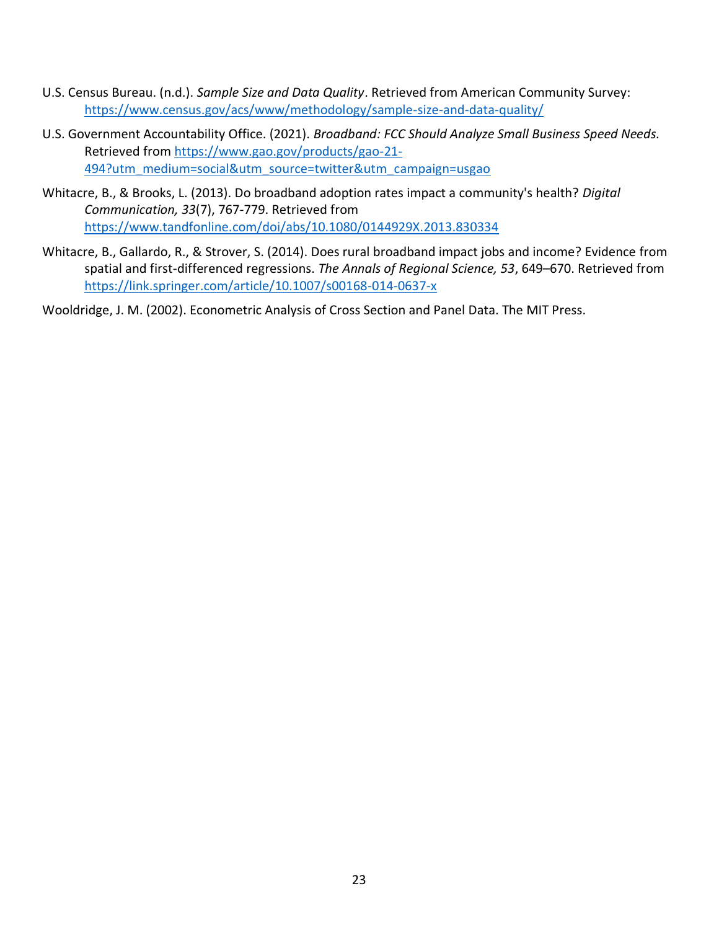- U.S. Census Bureau. (n.d.). *Sample Size and Data Quality*. Retrieved from American Community Survey: <https://www.census.gov/acs/www/methodology/sample-size-and-data-quality/>
- U.S. Government Accountability Office. (2021). *Broadband: FCC Should Analyze Small Business Speed Needs.* Retrieved from [https://www.gao.gov/products/gao-21-](https://www.gao.gov/products/gao-21-494?utm_medium=social&utm_source=twitter&utm_campaign=usgao) [494?utm\\_medium=social&utm\\_source=twitter&utm\\_campaign=usgao](https://www.gao.gov/products/gao-21-494?utm_medium=social&utm_source=twitter&utm_campaign=usgao)
- Whitacre, B., & Brooks, L. (2013). Do broadband adoption rates impact a community's health? *Digital Communication, 33*(7), 767-779. Retrieved from <https://www.tandfonline.com/doi/abs/10.1080/0144929X.2013.830334>
- Whitacre, B., Gallardo, R., & Strover, S. (2014). Does rural broadband impact jobs and income? Evidence from spatial and first-differenced regressions. *The Annals of Regional Science, 53*, 649–670. Retrieved from <https://link.springer.com/article/10.1007/s00168-014-0637-x>

Wooldridge, J. M. (2002). Econometric Analysis of Cross Section and Panel Data. The MIT Press.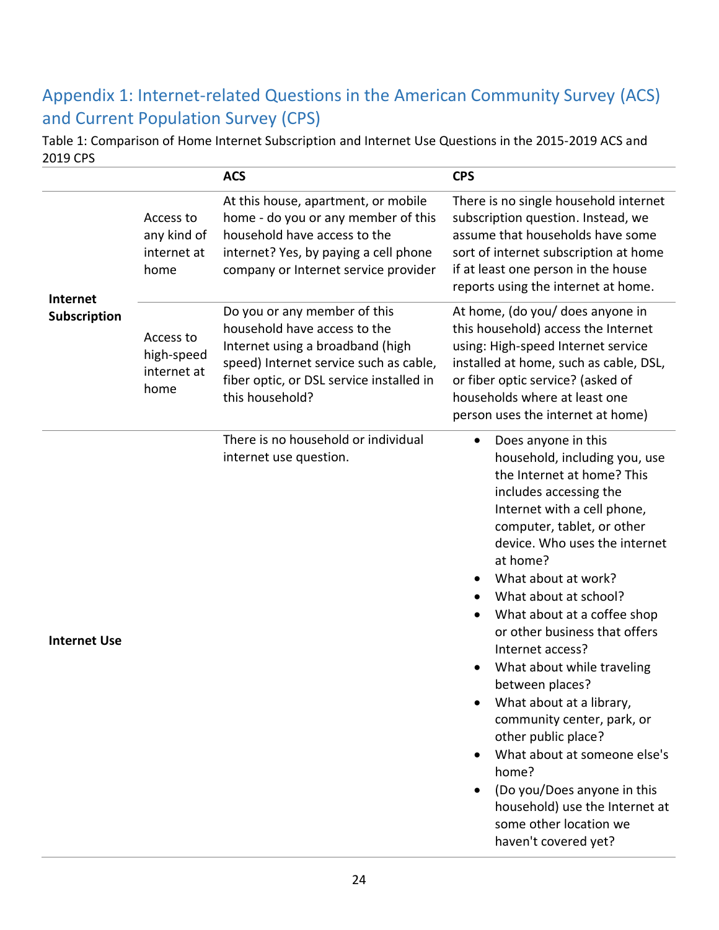# <span id="page-24-0"></span>Appendix 1: Internet-related Questions in the American Community Survey (ACS) and Current Population Survey (CPS)

Table 1: Comparison of Home Internet Subscription and Internet Use Questions in the 2015-2019 ACS and 2019 CPS

|                     |                                                 | <b>ACS</b>                                                                                                                                                                                                | <b>CPS</b>                                                                                                                                                                                                                                                                                                                                                                                                                                                                                                                                                                                                                                                            |  |
|---------------------|-------------------------------------------------|-----------------------------------------------------------------------------------------------------------------------------------------------------------------------------------------------------------|-----------------------------------------------------------------------------------------------------------------------------------------------------------------------------------------------------------------------------------------------------------------------------------------------------------------------------------------------------------------------------------------------------------------------------------------------------------------------------------------------------------------------------------------------------------------------------------------------------------------------------------------------------------------------|--|
| Internet            | Access to<br>any kind of<br>internet at<br>home | At this house, apartment, or mobile<br>home - do you or any member of this<br>household have access to the<br>internet? Yes, by paying a cell phone<br>company or Internet service provider               | There is no single household internet<br>subscription question. Instead, we<br>assume that households have some<br>sort of internet subscription at home<br>if at least one person in the house<br>reports using the internet at home.                                                                                                                                                                                                                                                                                                                                                                                                                                |  |
| Subscription        | Access to<br>high-speed<br>internet at<br>home  | Do you or any member of this<br>household have access to the<br>Internet using a broadband (high<br>speed) Internet service such as cable,<br>fiber optic, or DSL service installed in<br>this household? | At home, (do you/ does anyone in<br>this household) access the Internet<br>using: High-speed Internet service<br>installed at home, such as cable, DSL,<br>or fiber optic service? (asked of<br>households where at least one<br>person uses the internet at home)                                                                                                                                                                                                                                                                                                                                                                                                    |  |
| <b>Internet Use</b> |                                                 | There is no household or individual<br>internet use question.                                                                                                                                             | Does anyone in this<br>$\bullet$<br>household, including you, use<br>the Internet at home? This<br>includes accessing the<br>Internet with a cell phone,<br>computer, tablet, or other<br>device. Who uses the internet<br>at home?<br>What about at work?<br>What about at school?<br>What about at a coffee shop<br>or other business that offers<br>Internet access?<br>What about while traveling<br>between places?<br>What about at a library,<br>community center, park, or<br>other public place?<br>What about at someone else's<br>home?<br>(Do you/Does anyone in this<br>household) use the Internet at<br>some other location we<br>haven't covered yet? |  |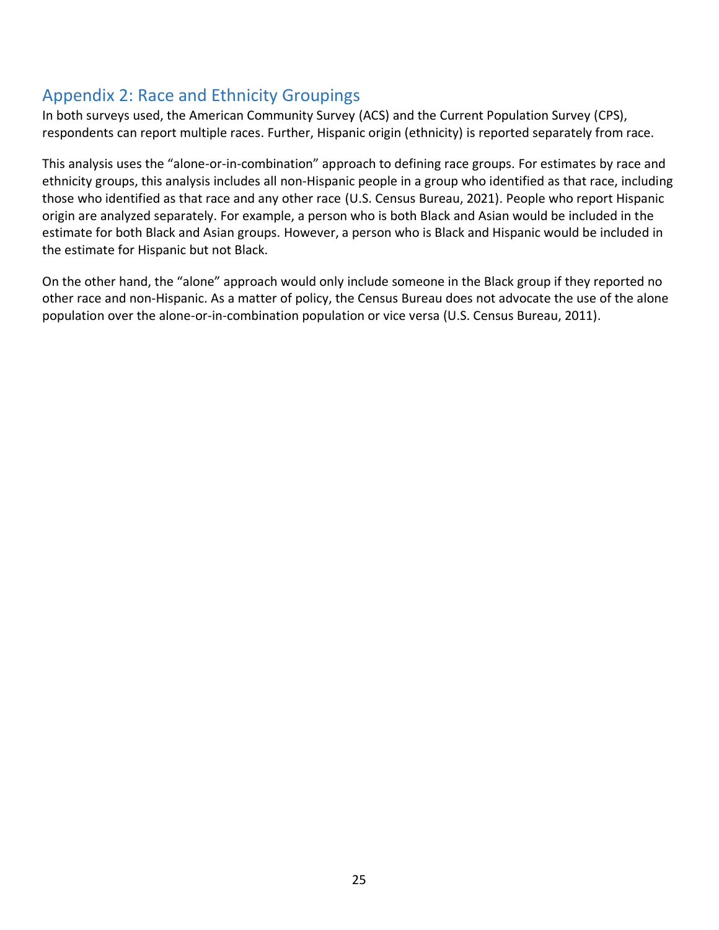## <span id="page-25-0"></span>Appendix 2: Race and Ethnicity Groupings

In both surveys used, the American Community Survey (ACS) and the Current Population Survey (CPS), respondents can report multiple races. Further, Hispanic origin (ethnicity) is reported separately from race.

This analysis uses the "alone-or-in-combination" approach to defining race groups. For estimates by race and ethnicity groups, this analysis includes all non-Hispanic people in a group who identified as that race, including those who identified as that race and any other race (U.S. Census Bureau, 2021). People who report Hispanic origin are analyzed separately. For example, a person who is both Black and Asian would be included in the estimate for both Black and Asian groups. However, a person who is Black and Hispanic would be included in the estimate for Hispanic but not Black.

On the other hand, the "alone" approach would only include someone in the Black group if they reported no other race and non-Hispanic. As a matter of policy, the Census Bureau does not advocate the use of the alone population over the alone-or-in-combination population or vice versa (U.S. Census Bureau, 2011).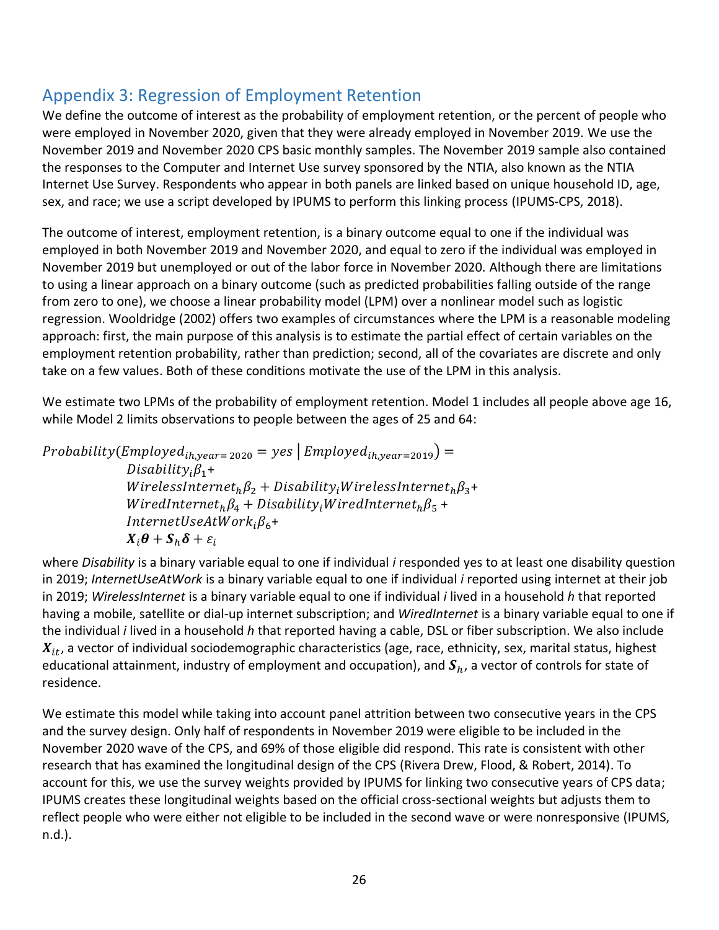# <span id="page-26-0"></span>Appendix 3: Regression of Employment Retention

We define the outcome of interest as the probability of employment retention, or the percent of people who were employed in November 2020, given that they were already employed in November 2019. We use the November 2019 and November 2020 CPS basic monthly samples. The November 2019 sample also contained the responses to the Computer and Internet Use survey sponsored by the NTIA, also known as the NTIA Internet Use Survey. Respondents who appear in both panels are linked based on unique household ID, age, sex, and race; we use a script developed by IPUMS to perform this linking process (IPUMS-CPS, 2018).

The outcome of interest, employment retention, is a binary outcome equal to one if the individual was employed in both November 2019 and November 2020, and equal to zero if the individual was employed in November 2019 but unemployed or out of the labor force in November 2020. Although there are limitations to using a linear approach on a binary outcome (such as predicted probabilities falling outside of the range from zero to one), we choose a linear probability model (LPM) over a nonlinear model such as logistic regression. Wooldridge (2002) offers two examples of circumstances where the LPM is a reasonable modeling approach: first, the main purpose of this analysis is to estimate the partial effect of certain variables on the employment retention probability, rather than prediction; second, all of the covariates are discrete and only take on a few values. Both of these conditions motivate the use of the LPM in this analysis.

We estimate two LPMs of the probability of employment retention. Model 1 includes all people above age 16, while Model 2 limits observations to people between the ages of 25 and 64:

Probability(Employed<sub>ih,year=2020</sub> = yes | Employed<sub>ih,year=2019</sub>) =  $Disability_i\beta_1+$ WirelessInternet<sub>h</sub> $\beta_2$  + Disability<sub>i</sub>WirelessInternet<sub>h</sub> $\beta_3$ + WiredInternet<sub>h</sub> $\beta_4$  + Disability<sub>i</sub>WiredInternet<sub>h</sub> $\beta_5$  + InternetUseAtWork<sub>i</sub> $\beta_6$ +  $X_i \theta + S_h \delta + \varepsilon_i$ 

where *Disability* is a binary variable equal to one if individual *i* responded yes to at least one disability question in 2019; *InternetUseAtWork* is a binary variable equal to one if individual *i* reported using internet at their job in 2019; *WirelessInternet* is a binary variable equal to one if individual *i* lived in a household *h* that reported having a mobile, satellite or dial-up internet subscription; and *WiredInternet* is a binary variable equal to one if the individual *i* lived in a household *h* that reported having a cable, DSL or fiber subscription. We also include  $X_{it}$ , a vector of individual sociodemographic characteristics (age, race, ethnicity, sex, marital status, highest educational attainment, industry of employment and occupation), and  $S_h$ , a vector of controls for state of residence.

We estimate this model while taking into account panel attrition between two consecutive years in the CPS and the survey design. Only half of respondents in November 2019 were eligible to be included in the November 2020 wave of the CPS, and 69% of those eligible did respond. This rate is consistent with other research that has examined the longitudinal design of the CPS (Rivera Drew, Flood, & Robert, 2014). To account for this, we use the survey weights provided by IPUMS for linking two consecutive years of CPS data; IPUMS creates these longitudinal weights based on the official cross-sectional weights but adjusts them to reflect people who were either not eligible to be included in the second wave or were nonresponsive (IPUMS, n.d.).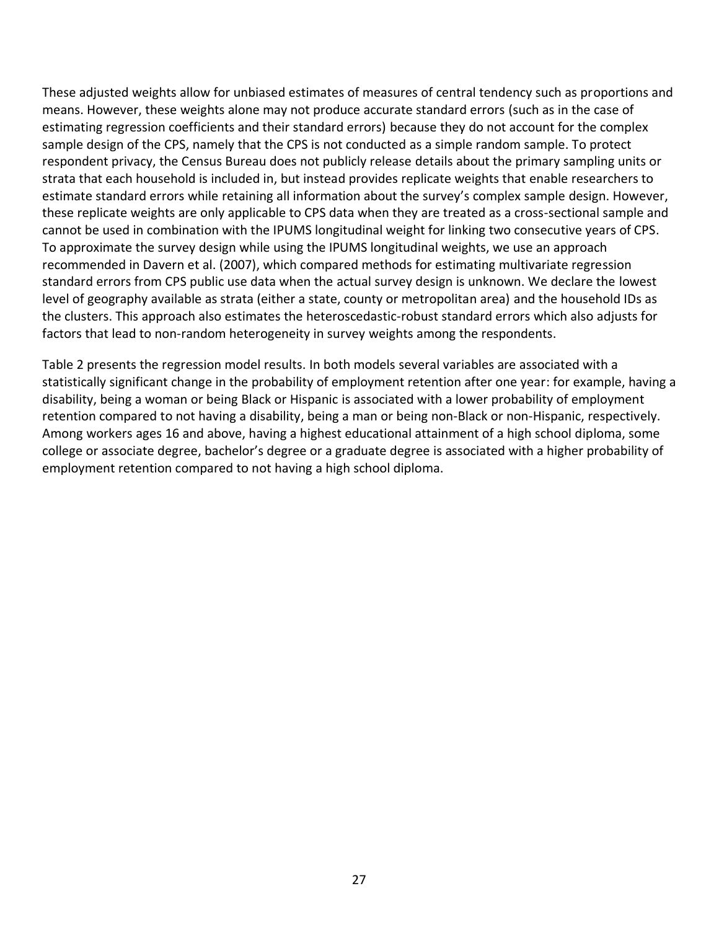These adjusted weights allow for unbiased estimates of measures of central tendency such as proportions and means. However, these weights alone may not produce accurate standard errors (such as in the case of estimating regression coefficients and their standard errors) because they do not account for the complex sample design of the CPS, namely that the CPS is not conducted as a simple random sample. To protect respondent privacy, the Census Bureau does not publicly release details about the primary sampling units or strata that each household is included in, but instead provides replicate weights that enable researchers to estimate standard errors while retaining all information about the survey's complex sample design. However, these replicate weights are only applicable to CPS data when they are treated as a cross-sectional sample and cannot be used in combination with the IPUMS longitudinal weight for linking two consecutive years of CPS. To approximate the survey design while using the IPUMS longitudinal weights, we use an approach recommended in Davern et al. (2007), which compared methods for estimating multivariate regression standard errors from CPS public use data when the actual survey design is unknown. We declare the lowest level of geography available as strata (either a state, county or metropolitan area) and the household IDs as the clusters. This approach also estimates the heteroscedastic-robust standard errors which also adjusts for factors that lead to non-random heterogeneity in survey weights among the respondents.

Table 2 presents the regression model results. In both models several variables are associated with a statistically significant change in the probability of employment retention after one year: for example, having a disability, being a woman or being Black or Hispanic is associated with a lower probability of employment retention compared to not having a disability, being a man or being non-Black or non-Hispanic, respectively. Among workers ages 16 and above, having a highest educational attainment of a high school diploma, some college or associate degree, bachelor's degree or a graduate degree is associated with a higher probability of employment retention compared to not having a high school diploma.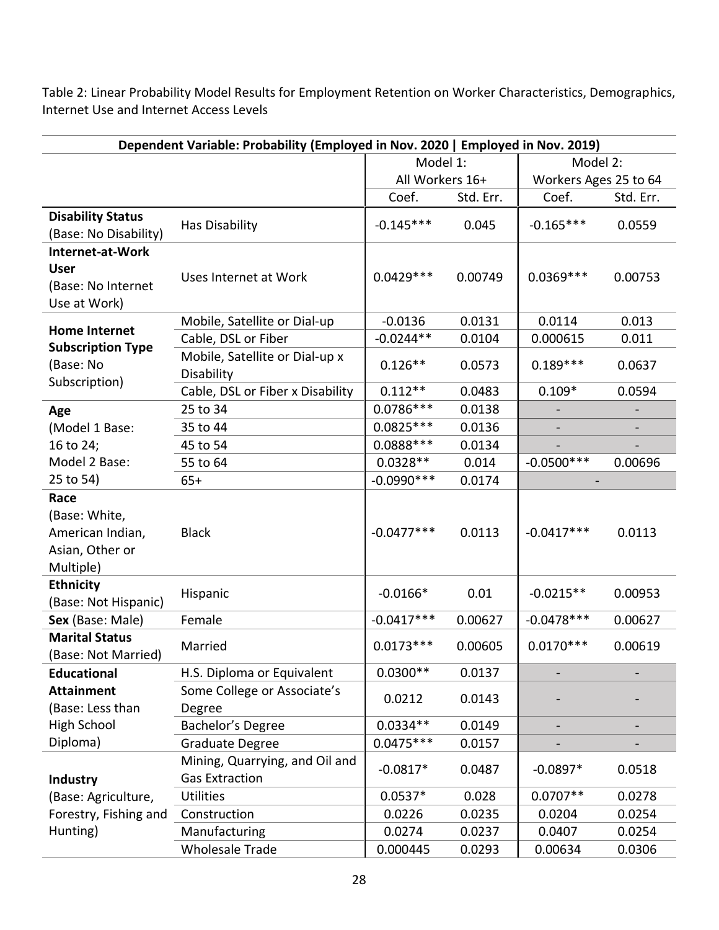<span id="page-28-0"></span>Table 2: Linear Probability Model Results for Employment Retention on Worker Characteristics, Demographics, Internet Use and Internet Access Levels

| Dependent Variable: Probability (Employed in Nov. 2020   Employed in Nov. 2019) |                                                         |              |                 |               |                       |  |
|---------------------------------------------------------------------------------|---------------------------------------------------------|--------------|-----------------|---------------|-----------------------|--|
|                                                                                 |                                                         | Model 1:     |                 | Model 2:      |                       |  |
|                                                                                 |                                                         |              | All Workers 16+ |               | Workers Ages 25 to 64 |  |
|                                                                                 |                                                         | Coef.        | Std. Err.       | Coef.         | Std. Err.             |  |
| <b>Disability Status</b><br>(Base: No Disability)                               | Has Disability                                          | $-0.145***$  | 0.045           | $-0.165***$   | 0.0559                |  |
| Internet-at-Work<br><b>User</b><br>(Base: No Internet<br>Use at Work)           | Uses Internet at Work                                   | $0.0429***$  | 0.00749         | $0.0369***$   | 0.00753               |  |
| <b>Home Internet</b>                                                            | Mobile, Satellite or Dial-up                            | $-0.0136$    | 0.0131          | 0.0114        | 0.013                 |  |
|                                                                                 | Cable, DSL or Fiber                                     | $-0.0244**$  | 0.0104          | 0.000615      | 0.011                 |  |
| <b>Subscription Type</b><br>(Base: No<br>Subscription)                          | Mobile, Satellite or Dial-up x<br>Disability            | $0.126**$    | 0.0573          | $0.189***$    | 0.0637                |  |
|                                                                                 | Cable, DSL or Fiber x Disability                        | $0.112**$    | 0.0483          | $0.109*$      | 0.0594                |  |
| Age                                                                             | 25 to 34                                                | $0.0786***$  | 0.0138          |               |                       |  |
| (Model 1 Base:                                                                  | 35 to 44                                                | 0.0825 ***   | 0.0136          |               |                       |  |
| 16 to 24;                                                                       | 45 to 54                                                | $0.0888***$  | 0.0134          |               |                       |  |
| Model 2 Base:                                                                   | 55 to 64                                                | $0.0328**$   | 0.014           | $-0.0500***$  | 0.00696               |  |
| 25 to 54)                                                                       | $65+$                                                   | $-0.0990***$ | 0.0174          |               |                       |  |
| Race<br>(Base: White,<br>American Indian,<br>Asian, Other or<br>Multiple)       | <b>Black</b>                                            | $-0.0477***$ | 0.0113          | $-0.0417***$  | 0.0113                |  |
| <b>Ethnicity</b><br>(Base: Not Hispanic)                                        | Hispanic                                                | $-0.0166*$   | 0.01            | $-0.0215**$   | 0.00953               |  |
| Sex (Base: Male)                                                                | Female                                                  | $-0.0417***$ | 0.00627         | $-0.0478$ *** | 0.00627               |  |
| <b>Marital Status</b><br>(Base: Not Married)                                    | Married                                                 | $0.0173***$  | 0.00605         | $0.0170***$   | 0.00619               |  |
| <b>Educational</b>                                                              | H.S. Diploma or Equivalent                              | $0.0300**$   | 0.0137          |               |                       |  |
| <b>Attainment</b><br>(Base: Less than                                           | Some College or Associate's<br>Degree                   | 0.0212       | 0.0143          |               |                       |  |
| High School                                                                     | Bachelor's Degree                                       | $0.0334**$   | 0.0149          |               |                       |  |
| Diploma)                                                                        | Graduate Degree                                         | $0.0475***$  | 0.0157          |               |                       |  |
| <b>Industry</b>                                                                 | Mining, Quarrying, and Oil and<br><b>Gas Extraction</b> | $-0.0817*$   | 0.0487          | $-0.0897*$    | 0.0518                |  |
| (Base: Agriculture,                                                             | <b>Utilities</b>                                        | $0.0537*$    | 0.028           | $0.0707**$    | 0.0278                |  |
| Forestry, Fishing and                                                           | Construction                                            | 0.0226       | 0.0235          | 0.0204        | 0.0254                |  |
| Hunting)                                                                        | Manufacturing                                           | 0.0274       | 0.0237          | 0.0407        | 0.0254                |  |
|                                                                                 | <b>Wholesale Trade</b>                                  | 0.000445     | 0.0293          | 0.00634       | 0.0306                |  |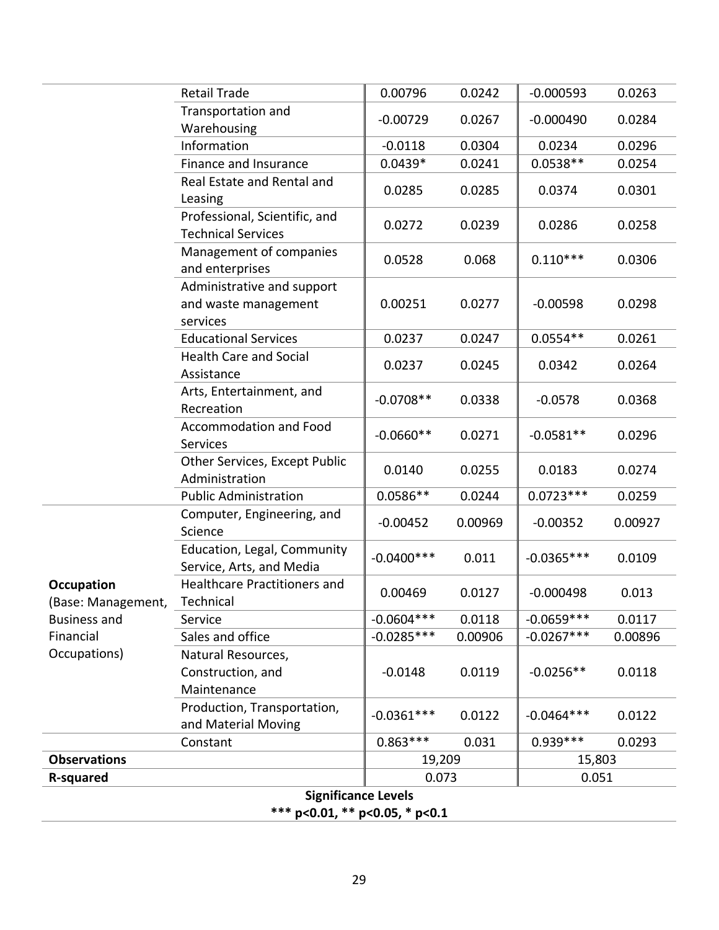|                                         | <b>Retail Trade</b>                                            | 0.00796      | 0.0242         | $-0.000593$  | 0.0263  |
|-----------------------------------------|----------------------------------------------------------------|--------------|----------------|--------------|---------|
|                                         | Transportation and<br>Warehousing                              | $-0.00729$   | 0.0267         | $-0.000490$  | 0.0284  |
|                                         | Information                                                    | $-0.0118$    | 0.0304         | 0.0234       | 0.0296  |
|                                         | Finance and Insurance                                          | $0.0439*$    | 0.0241         | $0.0538**$   | 0.0254  |
|                                         | Real Estate and Rental and<br>Leasing                          | 0.0285       | 0.0285         | 0.0374       | 0.0301  |
|                                         | Professional, Scientific, and<br><b>Technical Services</b>     | 0.0272       | 0.0239         | 0.0286       | 0.0258  |
|                                         | Management of companies<br>and enterprises                     | 0.0528       | 0.068          | $0.110***$   | 0.0306  |
|                                         | Administrative and support<br>and waste management<br>services | 0.00251      | 0.0277         | $-0.00598$   | 0.0298  |
|                                         | <b>Educational Services</b>                                    | 0.0237       | 0.0247         | $0.0554**$   | 0.0261  |
|                                         | <b>Health Care and Social</b><br>Assistance                    | 0.0237       | 0.0245         | 0.0342       | 0.0264  |
|                                         | Arts, Entertainment, and<br>Recreation                         | $-0.0708**$  | 0.0338         | $-0.0578$    | 0.0368  |
|                                         | <b>Accommodation and Food</b><br>Services                      | $-0.0660**$  | 0.0271         | $-0.0581**$  | 0.0296  |
|                                         | Other Services, Except Public<br>Administration                | 0.0140       | 0.0255         | 0.0183       | 0.0274  |
|                                         | <b>Public Administration</b>                                   | $0.0586**$   | 0.0244         | $0.0723***$  | 0.0259  |
|                                         | Computer, Engineering, and<br>Science                          | $-0.00452$   | 0.00969        | $-0.00352$   | 0.00927 |
|                                         | Education, Legal, Community<br>Service, Arts, and Media        | $-0.0400***$ | 0.011          | $-0.0365***$ | 0.0109  |
| <b>Occupation</b><br>(Base: Management, | <b>Healthcare Practitioners and</b><br>Technical               | 0.00469      | 0.0127         | $-0.000498$  | 0.013   |
| <b>Business and</b>                     | Service                                                        | $-0.0604***$ | 0.0118         | $-0.0659***$ | 0.0117  |
| Financial                               | Sales and office                                               | $-0.0285***$ | 0.00906        | $-0.0267***$ | 0.00896 |
| Occupations)                            | Natural Resources,<br>Construction, and<br>Maintenance         | $-0.0148$    | 0.0119         | $-0.0256**$  | 0.0118  |
|                                         | Production, Transportation,<br>and Material Moving             | $-0.0361***$ | 0.0122         | $-0.0464***$ | 0.0122  |
|                                         | Constant                                                       | $0.863***$   | 0.031          | $0.939***$   | 0.0293  |
| <b>Observations</b>                     |                                                                | 19,209       |                | 15,803       |         |
| R-squared                               |                                                                |              | 0.073<br>0.051 |              |         |
|                                         | <b>Significance Levels</b><br>$*** no 01 ** no 05 * no 1$      |              |                |              |         |